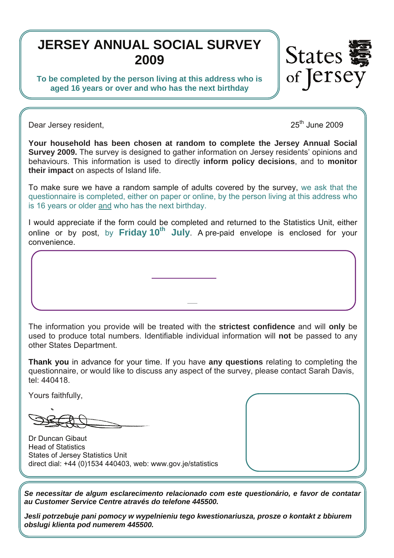# **JERSEY ANNUAL SOCIAL SURVEY 2009**

**To be completed by the person living at this address who is aged 16 years or over and who has the next birthday** 



Dear Jersey resident, 2009 and 2009 and 2009 and 2009 and 2009 and 2009 and 2009 and 2009 and 2009 and 2009 and 2009

**Your household has been chosen at random to complete the Jersey Annual Social Survey 2009.** The survey is designed to gather information on Jersey residents' opinions and behaviours. This information is used to directly **inform policy decisions**, and to **monitor their impact** on aspects of Island life.

To make sure we have a random sample of adults covered by the survey, we ask that the questionnaire is completed, either on paper or online, by the person living at this address who is 16 years or older and who has the next birthday.

I would appreciate if the form could be completed and returned to the Statistics Unit, either online or by post, by Friday 10<sup>th</sup> July. A pre-paid envelope is enclosed for your convenience.

Please go to: *www.gov.je /JASS* and follow the link.

*\*This is for administrative purposes only. It is not used to identify individuals or during analysis.* 

The information you provide will be treated with the **strictest confidence** and will **only** be used to produce total numbers. Identifiable individual information will **not** be passed to any other States Department.

**Thank you** in advance for your time. If you have **any questions** relating to completing the questionnaire, or would like to discuss any aspect of the survey, please contact Sarah Davis, tel: 440418.

Yours faithfully,

Dr Duncan Gibaut Head of Statistics States of Jersey Statistics Unit direct dial: +44 (0)1534 440403, web: www.gov.je/statistics

*Se necessitar de algum esclarecimento relacionado com este questionário, e favor de contatar au Customer Service Centre através do telefone 445500.* 

*Jesli potrzebuje pani pomocy w wypelnieniu tego kwestionariusza, prosze o kontakt z bbiurem obslugi klienta pod numerem 445500.*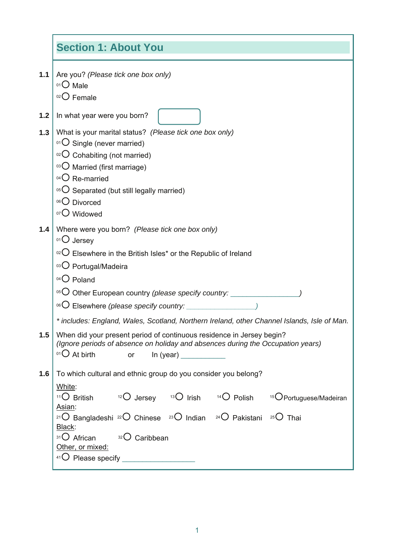|       | <b>Section 1: About You</b>                                                                                                                                                                                                                                                                                                                                                                                                                      |  |  |  |  |  |
|-------|--------------------------------------------------------------------------------------------------------------------------------------------------------------------------------------------------------------------------------------------------------------------------------------------------------------------------------------------------------------------------------------------------------------------------------------------------|--|--|--|--|--|
| $1.1$ | Are you? (Please tick one box only)<br>01 O Male<br>$02$ Female                                                                                                                                                                                                                                                                                                                                                                                  |  |  |  |  |  |
| 1.2   | In what year were you born?                                                                                                                                                                                                                                                                                                                                                                                                                      |  |  |  |  |  |
| 1.3   | What is your marital status? (Please tick one box only)<br>01 O Single (never married)<br>$O2O$ Cohabiting (not married)<br>03 O Married (first marriage)<br>$04$ Re-married<br>$^{05}$ C Separated (but still legally married)<br>06 Divorced                                                                                                                                                                                                   |  |  |  |  |  |
| 1.4   | 07 Widowed<br>Where were you born? (Please tick one box only)<br>$01$ Jersey<br>$\mathrm{O}^2$ Elsewhere in the British Isles* or the Republic of Ireland<br>03 O Portugal/Madeira<br>$04$ Poland<br><sup>05</sup> O Other European country (please specify country: ________<br><sup>06</sup> O Elsewhere (please specify country: _____________<br>* includes: England, Wales, Scotland, Northern Ireland, other Channel Islands, Isle of Man. |  |  |  |  |  |
| 1.5   | When did your present period of continuous residence in Jersey begin?<br>(Ignore periods of absence on holiday and absences during the Occupation years)<br>$01$ At birth<br>or<br>In (year)                                                                                                                                                                                                                                                     |  |  |  |  |  |
| 1.6   | To which cultural and ethnic group do you consider you belong?<br>White:<br><sup>11</sup> O British $^{12}$ O Jersey $^{13}$ O Irish $^{14}$ O Polish $^{15}$ O Portuguese/Madeiran<br>Asian:<br><sup>21</sup> O Bangladeshi <sup>22</sup> O Chinese <sup>23</sup> O Indian <sup>24</sup> O Pakistani <sup>25</sup> O Thai<br>Black:<br>31 African 32 Caribbean<br>Other, or mixed:                                                              |  |  |  |  |  |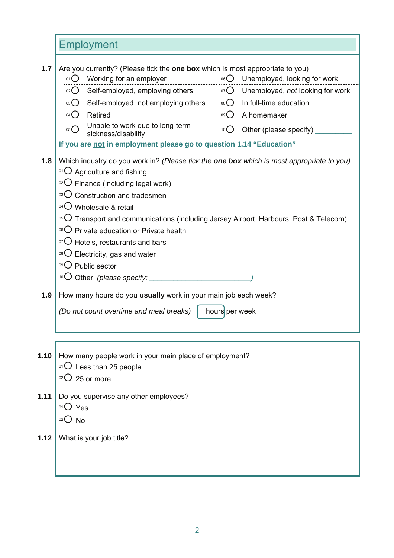Employment

| 1.7  | Are you currently? (Please tick the one box which is most appropriate to you)<br>Working for an employer<br>01() | 06 $\bigcirc$<br>Unemployed, looking for work |  |  |  |  |  |  |
|------|------------------------------------------------------------------------------------------------------------------|-----------------------------------------------|--|--|--|--|--|--|
|      | 02 Self-employed, employing others                                                                               | 07 O Unemployed, not looking for work         |  |  |  |  |  |  |
|      | 03 O Self-employed, not employing others                                                                         | $08\bigcirc$<br>In full-time education        |  |  |  |  |  |  |
|      | 04 C Retired                                                                                                     | 09 $\bigcirc$ A homemaker                     |  |  |  |  |  |  |
|      | Unable to work due to long-term<br>05()<br>sickness/disability                                                   | Other (please specify)<br>10 <sup>10</sup>    |  |  |  |  |  |  |
|      | If you are not in employment please go to question 1.14 "Education"                                              |                                               |  |  |  |  |  |  |
| 1.8  | Which industry do you work in? (Please tick the <b>one box</b> which is most appropriate to you)                 |                                               |  |  |  |  |  |  |
|      | $^{01}$ O Agriculture and fishing                                                                                |                                               |  |  |  |  |  |  |
|      | $O2O$ Finance (including legal work)                                                                             |                                               |  |  |  |  |  |  |
|      | 03 O Construction and tradesmen                                                                                  |                                               |  |  |  |  |  |  |
|      | 04 O Wholesale & retail                                                                                          |                                               |  |  |  |  |  |  |
|      | <sup>05</sup> $\bigcirc$ Transport and communications (including Jersey Airport, Harbours, Post & Telecom)       |                                               |  |  |  |  |  |  |
|      | <sup>06</sup> O Private education or Private health                                                              |                                               |  |  |  |  |  |  |
|      | $\rm{O}$ Hotels, restaurants and bars                                                                            |                                               |  |  |  |  |  |  |
|      | <sup>08</sup> $\bigcirc$ Electricity, gas and water                                                              |                                               |  |  |  |  |  |  |
|      | 09 Public sector                                                                                                 |                                               |  |  |  |  |  |  |
|      |                                                                                                                  |                                               |  |  |  |  |  |  |
| 1.9  | How many hours do you usually work in your main job each week?                                                   |                                               |  |  |  |  |  |  |
|      | (Do not count overtime and meal breaks)<br>hours per week                                                        |                                               |  |  |  |  |  |  |
|      |                                                                                                                  |                                               |  |  |  |  |  |  |
|      |                                                                                                                  |                                               |  |  |  |  |  |  |
| 1.10 | How many people work in your main place of employment?<br>$01$ O Less than 25 people                             |                                               |  |  |  |  |  |  |
|      | $02$ 25 or more                                                                                                  |                                               |  |  |  |  |  |  |
|      |                                                                                                                  |                                               |  |  |  |  |  |  |
| 1.11 | Do you supervise any other employees?                                                                            |                                               |  |  |  |  |  |  |
|      | 01 Yes                                                                                                           |                                               |  |  |  |  |  |  |
|      | $02O$ No                                                                                                         |                                               |  |  |  |  |  |  |
| 1.12 | What is your job title?                                                                                          |                                               |  |  |  |  |  |  |
|      |                                                                                                                  |                                               |  |  |  |  |  |  |
|      |                                                                                                                  |                                               |  |  |  |  |  |  |
|      |                                                                                                                  |                                               |  |  |  |  |  |  |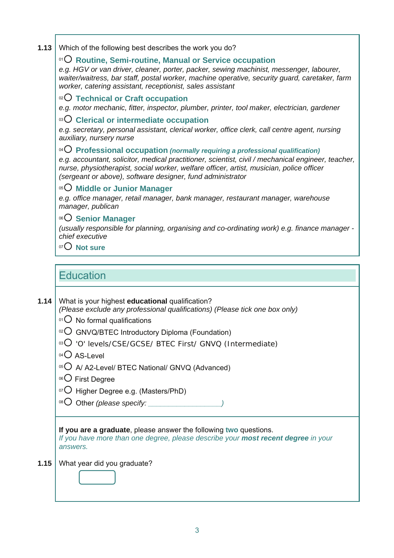**1.13**  Which of the following best describes the work you do?

#### <sup>01</sup>{ **Routine, Semi-routine, Manual or Service occupation**

*e.g. HGV or van driver, cleaner, porter, packer, sewing machinist, messenger, labourer, waiter/waitress, bar staff, postal worker, machine operative, security guard, caretaker, farm worker, catering assistant, receptionist, sales assistant* 

<sup>02</sup>{ **Technical or Craft occupation** 

*e.g. motor mechanic, fitter, inspector, plumber, printer, tool maker, electrician, gardener* 

#### <sup>03</sup>{ **Clerical or intermediate occupation**

*e.g. secretary, personal assistant, clerical worker, office clerk, call centre agent, nursing auxiliary, nursery nurse* 

### <sup>04</sup>{ **Professional occupation** *(normally requiring a professional qualification)*

*e.g. accountant, solicitor, medical practitioner, scientist, civil / mechanical engineer, teacher, nurse, physiotherapist, social worker, welfare officer, artist, musician, police officer (sergeant or above), software designer, fund administrator* 

<sup>05</sup>{ **Middle or Junior Manager** 

*e.g. office manager, retail manager, bank manager, restaurant manager, warehouse manager, publican* 

#### <sup>06</sup>{ **Senior Manager**

*(usually responsible for planning, organising and co-ordinating work) e.g. finance manager chief executive* 

 $^{07}$  $O$  **Not sure** 

### **Education**

#### **1.14**  What is your highest **educational** qualification?

*(Please exclude any professional qualifications) (Please tick one box only)* 

- $^{01}$  $O$  No formal qualifications
- $\alpha$ <sup>2</sup> $\bigcirc$  GNVQ/BTEC Introductory Diploma (Foundation)
- <sup>03</sup>O 'O' levels/CSE/GCSE/ BTEC First/ GNVQ (Intermediate)
- $04$  AS-Level
- $05$  A/ A2-Level/ BTEC National/ GNVQ (Advanced)
- $06$  First Degree
- $\overline{O}$  Higher Degree e.g. (Masters/PhD)

 $^{08}$  $O$  Other *(please specify:*  $\_$ 

**If you are a graduate**, please answer the following **two** questions.

*If you have more than one degree, please describe your most recent degree in your answers.* 

What year did you graduate? **1.15**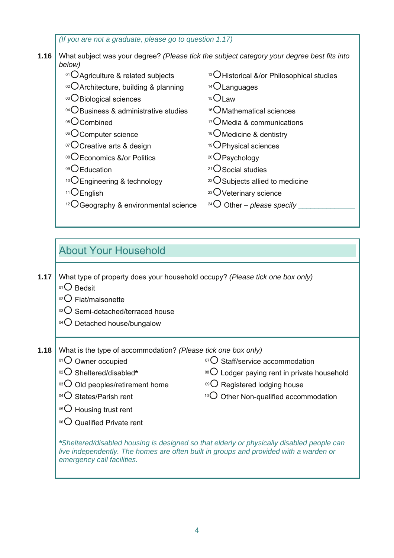**1.16**  *(If you are not a graduate, please go to question 1.17)*  What subject was your degree? *(Please tick the subject category your degree best fits into below)*   $^{01}$  $O$ Agriculture & related subjects  $^{13}$  $O$ Historical &/or Philosophical studies  $02$  Architecture, building & planning  $14$   $OL$  anguages 03 O Biological sciences 15 O Law  $^{04}$ OBusiness & administrative studies  $16$ Mathematical sciences  $^{05}O$ Combined  $^{17}O$ Media & communications <sup>06</sup>O Computer science 18<sup>{Medicine & dentistry}</sup>  $^{07}$ Creative arts & design  $^{19}$ CPhysical sciences <sup>08</sup>O Economics &/or Politics 20 20 Psychology <sup>09</sup>OEducation 21OSocial studies <sup>10</sup> $O$ Engineering & technology  $22O$ Subjects allied to medicine  $11$  $\overline{\text{C}}$ English  $23$  $\overline{\text{C}}$ Veterinary science  $12{^2O}$  Geography & environmental science  $24{^2O}$  Other – *please specify* 

### About Your Household

**1.17**  What type of property does your household occupy? *(Please tick one box only)* 

- $01$  Bedsit
- $02$  Flat/maisonette
- $03$  Semi-detached/terraced house
- $04$  Detached house/bungalow
- **1.18**  What is the type of accommodation? *(Please tick one box only)* 
	-
	- 02 Sheltered/disabled\*
	- $03{O}$  Old peoples/retirement home  $09{O}$  Registered lodging house
	- $^{04}$  States/Parish rent
	- $05$  Housing trust rent
	- $06$  Qualified Private rent
	- $^{01}$  $\bigcirc$  Owner occupied  $^{07}$  $\bigcirc$  Staff/service accommodation
		- <sup>08</sup>O Lodger paying rent in private household
		-
		- $10^{\circ}$  Other Non-qualified accommodation

*\*Sheltered/disabled housing is designed so that elderly or physically disabled people can live independently. The homes are often built in groups and provided with a warden or emergency call facilities.*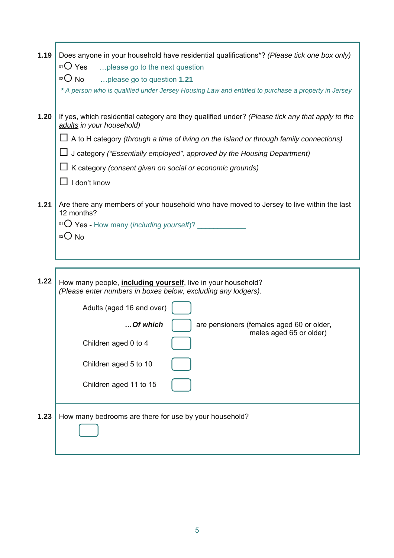| 1.19 | Does anyone in your household have residential qualifications*? (Please tick one box only)<br>$01O$ Yes<br>please go to the next question   |
|------|---------------------------------------------------------------------------------------------------------------------------------------------|
|      | $02$ No<br>please go to question 1.21<br>* A person who is qualified under Jersey Housing Law and entitled to purchase a property in Jersey |
| 1.20 | If yes, which residential category are they qualified under? (Please tick any that apply to the<br>adults in your household)                |
|      | $\Box$ A to H category (through a time of living on the Island or through family connections)                                               |
|      | □ J category ("Essentially employed", approved by the Housing Department)                                                                   |
|      | $\Box$ K category (consent given on social or economic grounds)                                                                             |
|      | $\Box$ I don't know                                                                                                                         |
|      |                                                                                                                                             |
| 1.21 | Are there any members of your household who have moved to Jersey to live within the last<br>12 months?                                      |
|      | 01 O Yes - How many (including yourself)?                                                                                                   |
|      | $02O$ No                                                                                                                                    |
|      |                                                                                                                                             |
|      |                                                                                                                                             |
|      |                                                                                                                                             |
| 1.22 | How many people, <i>including yourself</i> , live in your household?<br>(Please enter numbers in boxes below, excluding any lodgers).       |
|      | Adults (aged 16 and over)                                                                                                                   |
|      | Of which<br>are pensioners (females aged 60 or older,                                                                                       |
|      | males aged 65 or older)<br>Children aged 0 to 4                                                                                             |
|      | Children aged 5 to 10                                                                                                                       |
|      |                                                                                                                                             |
|      | Children aged 11 to 15                                                                                                                      |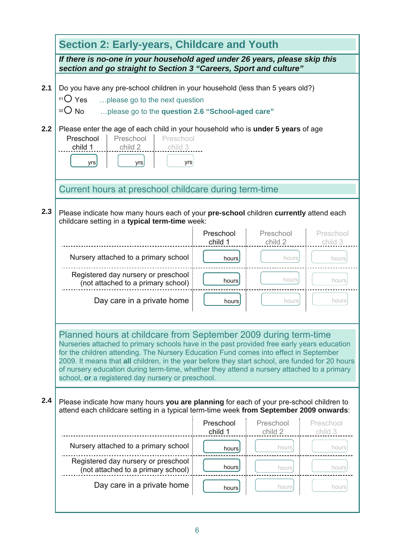|     | <b>Section 2: Early-years, Childcare and Youth</b><br>If there is no-one in your household aged under 26 years, please skip this<br>section and go straight to Section 3 "Careers, Sport and culture"<br>Do you have any pre-school children in your household (less than 5 years old?)<br>$01O$ Yes<br>please go to the next question<br>$02$ No<br>please go to the question 2.6 "School-aged care"                                                                                                                                                                                                                                                                                             |                      |                      |                      |  |  |  |  |
|-----|---------------------------------------------------------------------------------------------------------------------------------------------------------------------------------------------------------------------------------------------------------------------------------------------------------------------------------------------------------------------------------------------------------------------------------------------------------------------------------------------------------------------------------------------------------------------------------------------------------------------------------------------------------------------------------------------------|----------------------|----------------------|----------------------|--|--|--|--|
|     |                                                                                                                                                                                                                                                                                                                                                                                                                                                                                                                                                                                                                                                                                                   |                      |                      |                      |  |  |  |  |
| 2.1 |                                                                                                                                                                                                                                                                                                                                                                                                                                                                                                                                                                                                                                                                                                   |                      |                      |                      |  |  |  |  |
| 2.2 | Please enter the age of each child in your household who is under 5 years of age<br>Preschool<br>Preschool<br>Preschool<br>child 1<br>child 2<br>child 3<br>yrs<br>yrs<br>yrs                                                                                                                                                                                                                                                                                                                                                                                                                                                                                                                     |                      |                      |                      |  |  |  |  |
|     | Current hours at preschool childcare during term-time                                                                                                                                                                                                                                                                                                                                                                                                                                                                                                                                                                                                                                             |                      |                      |                      |  |  |  |  |
| 2.3 | Please indicate how many hours each of your pre-school children currently attend each<br>childcare setting in a typical term-time week:                                                                                                                                                                                                                                                                                                                                                                                                                                                                                                                                                           |                      |                      |                      |  |  |  |  |
|     |                                                                                                                                                                                                                                                                                                                                                                                                                                                                                                                                                                                                                                                                                                   | Preschool<br>child 1 | Preschool<br>child 2 | Preschool<br>child 3 |  |  |  |  |
|     | Nursery attached to a primary school                                                                                                                                                                                                                                                                                                                                                                                                                                                                                                                                                                                                                                                              | hours                | hours                | hours                |  |  |  |  |
|     | Registered day nursery or preschool<br>(not attached to a primary school)                                                                                                                                                                                                                                                                                                                                                                                                                                                                                                                                                                                                                         | hours                | hours                | hours                |  |  |  |  |
|     | Day care in a private home                                                                                                                                                                                                                                                                                                                                                                                                                                                                                                                                                                                                                                                                        | hours                | hours                | hours                |  |  |  |  |
| 2.4 | Planned hours at childcare from September 2009 during term-time<br>Nurseries attached to primary schools have in the past provided free early years education<br>for the children attending. The Nursery Education Fund comes into effect in September<br>2009. It means that all children, in the year before they start school, are funded for 20 hours<br>of nursery education during term-time, whether they attend a nursery attached to a primary<br>school, or a registered day nursery or preschool.<br>Please indicate how many hours you are planning for each of your pre-school children to<br>attend each childcare setting in a typical term-time week from September 2009 onwards: |                      |                      |                      |  |  |  |  |
|     |                                                                                                                                                                                                                                                                                                                                                                                                                                                                                                                                                                                                                                                                                                   | Preschool<br>child 1 | Preschool<br>child 2 | Preschool<br>child 3 |  |  |  |  |
|     | Nursery attached to a primary school                                                                                                                                                                                                                                                                                                                                                                                                                                                                                                                                                                                                                                                              | hours                | hours                | hours                |  |  |  |  |
|     | Registered day nursery or preschool<br>(not attached to a primary school)                                                                                                                                                                                                                                                                                                                                                                                                                                                                                                                                                                                                                         | hours                | hours                | hours                |  |  |  |  |
|     | Day care in a private home                                                                                                                                                                                                                                                                                                                                                                                                                                                                                                                                                                                                                                                                        | hours                | hours                | hours                |  |  |  |  |
|     |                                                                                                                                                                                                                                                                                                                                                                                                                                                                                                                                                                                                                                                                                                   |                      |                      |                      |  |  |  |  |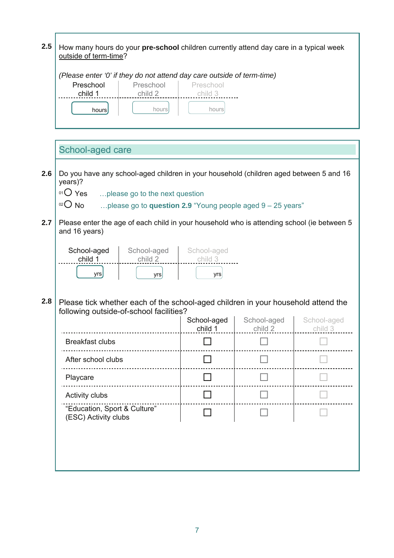| 2.5 | How many hours do your pre-school children currently attend day care in a typical week<br>outside of term-time?                                                                                                                  |                               |                        |                        |  |  |  |  |
|-----|----------------------------------------------------------------------------------------------------------------------------------------------------------------------------------------------------------------------------------|-------------------------------|------------------------|------------------------|--|--|--|--|
|     | (Please enter '0' if they do not attend day care outside of term-time)<br>Preschool<br>Preschool<br>Preschool<br>child 1<br>child 2<br>child 3<br>hours<br>hours<br>hours                                                        |                               |                        |                        |  |  |  |  |
|     | School-aged care                                                                                                                                                                                                                 |                               |                        |                        |  |  |  |  |
| 2.6 | Do you have any school-aged children in your household (children aged between 5 and 16<br>years)?<br>01 Yes<br>please go to the next question<br>$02O$ No<br>please go to <b>question 2.9</b> "Young people aged $9 - 25$ years" |                               |                        |                        |  |  |  |  |
| 2.7 | Please enter the age of each child in your household who is attending school (ie between 5<br>and 16 years)                                                                                                                      |                               |                        |                        |  |  |  |  |
|     | School-aged<br>School-aged<br>child 1<br>child 2<br>yrs<br>yrs                                                                                                                                                                   | School-aged<br>child 3<br>yrs |                        |                        |  |  |  |  |
| 2.8 | Please tick whether each of the school-aged children in your household attend the<br>following outside-of-school facilities?                                                                                                     |                               |                        |                        |  |  |  |  |
|     |                                                                                                                                                                                                                                  | School-aged<br>child 1        | School-aged<br>child 2 | School-aged<br>child 3 |  |  |  |  |
|     | <b>Breakfast clubs</b>                                                                                                                                                                                                           |                               |                        |                        |  |  |  |  |
|     | After school clubs                                                                                                                                                                                                               |                               |                        |                        |  |  |  |  |
|     | Playcare                                                                                                                                                                                                                         |                               |                        |                        |  |  |  |  |
|     | Activity clubs                                                                                                                                                                                                                   |                               |                        |                        |  |  |  |  |
|     | "Education, Sport & Culture"<br>(ESC) Activity clubs                                                                                                                                                                             |                               |                        |                        |  |  |  |  |
|     |                                                                                                                                                                                                                                  |                               |                        |                        |  |  |  |  |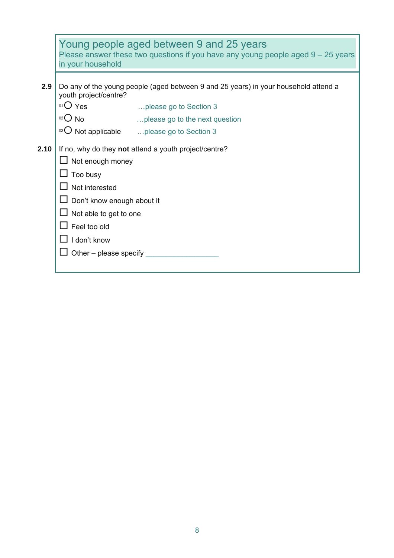|      | Young people aged between 9 and 25 years<br>Please answer these two questions if you have any young people aged $9 - 25$ years<br>in your household              |                                                       |  |  |  |  |  |
|------|------------------------------------------------------------------------------------------------------------------------------------------------------------------|-------------------------------------------------------|--|--|--|--|--|
| 2.9  | Do any of the young people (aged between 9 and 25 years) in your household attend a<br>youth project/centre?                                                     |                                                       |  |  |  |  |  |
|      | $01O$ Yes                                                                                                                                                        | please go to Section 3                                |  |  |  |  |  |
|      | $02O$ No                                                                                                                                                         | please go to the next question                        |  |  |  |  |  |
|      |                                                                                                                                                                  | $^{03}$ O Not applicable  please go to Section 3      |  |  |  |  |  |
| 2.10 | Not enough money<br>Too busy<br>Not interested<br>Don't know enough about it<br>Not able to get to one<br>Feel too old<br>I don't know<br>Other – please specify | If no, why do they not attend a youth project/centre? |  |  |  |  |  |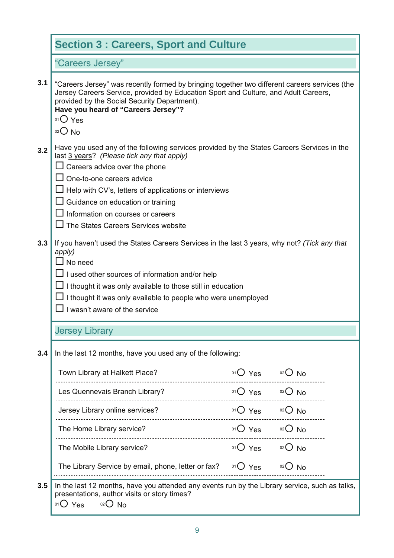|     | <b>Section 3: Careers, Sport and Culture</b>                                                                                                                                                                                                                                                                                                                                     |                    |          |  |  |
|-----|----------------------------------------------------------------------------------------------------------------------------------------------------------------------------------------------------------------------------------------------------------------------------------------------------------------------------------------------------------------------------------|--------------------|----------|--|--|
|     | "Careers Jersey"                                                                                                                                                                                                                                                                                                                                                                 |                    |          |  |  |
| 3.1 | "Careers Jersey" was recently formed by bringing together two different careers services (the<br>Jersey Careers Service, provided by Education Sport and Culture, and Adult Careers,<br>provided by the Social Security Department).<br>Have you heard of "Careers Jersey"?<br>$01O$ Yes<br>$O02$ No                                                                             |                    |          |  |  |
| 3.2 | Have you used any of the following services provided by the States Careers Services in the<br>last 3 years? (Please tick any that apply)<br>Careers advice over the phone<br>One-to-one careers advice<br>Help with CV's, letters of applications or interviews<br>Guidance on education or training<br>Information on courses or careers<br>The States Careers Services website |                    |          |  |  |
| 3.3 | If you haven't used the States Careers Services in the last 3 years, why not? (Tick any that<br>apply)<br>$\Box$ No need<br>I used other sources of information and/or help<br>I thought it was only available to those still in education<br>I thought it was only available to people who were unemployed<br>I wasn't aware of the service                                     |                    |          |  |  |
|     | <b>Jersey Library</b>                                                                                                                                                                                                                                                                                                                                                            |                    |          |  |  |
| 3.4 | In the last 12 months, have you used any of the following:                                                                                                                                                                                                                                                                                                                       |                    |          |  |  |
|     | Town Library at Halkett Place?                                                                                                                                                                                                                                                                                                                                                   | $01O$ Yes $02O$ No |          |  |  |
|     | Les Quennevais Branch Library?                                                                                                                                                                                                                                                                                                                                                   | $01O$ Yes $02O$ No |          |  |  |
|     | Jersey Library online services?                                                                                                                                                                                                                                                                                                                                                  | $01O$ Yes          | $O02$ No |  |  |
|     | The Home Library service?<br>----------------------------                                                                                                                                                                                                                                                                                                                        | $01O$ Yes $02O$ No |          |  |  |
|     | The Mobile Library service?                                                                                                                                                                                                                                                                                                                                                      | $01O$ Yes $02O$ No |          |  |  |
|     | The Library Service by email, phone, letter or fax? $\circ$ $\circ$ Yes                                                                                                                                                                                                                                                                                                          |                    | $02O$ No |  |  |
| 3.5 | In the last 12 months, have you attended any events run by the Library service, such as talks,<br>presentations, author visits or story times?<br>$01O$ Yes $02O$ No                                                                                                                                                                                                             |                    |          |  |  |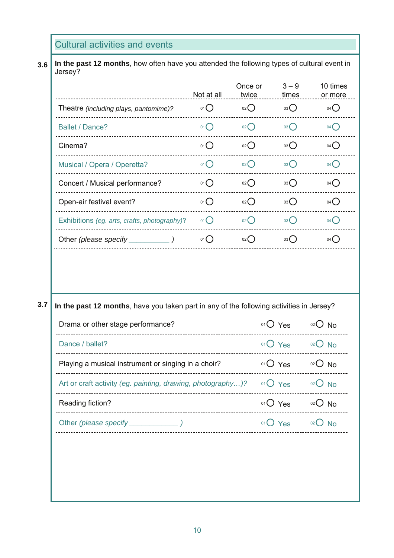Cultural activities and events

**3.6 In the past 12 months**, how often have you attended the following types of cultural event in Jersey?

|                                              | Not at all | Once or<br>twice   | $3 - 9$<br>times | 10 times<br>or more |
|----------------------------------------------|------------|--------------------|------------------|---------------------|
| Theatre (including plays, pantomime)?        | 01()       | 02                 | 03()             | 04()                |
| <b>Ballet / Dance?</b>                       | 01()       | 02                 | $03$ $\bigcirc$  | 04()                |
| Cinema?                                      | 01()       | $_{02}$ $\bigcap$  | 03()             | 04()                |
| Musical / Opera / Operetta?                  | 01()       | 02                 | $03$ $\bigcirc$  | 04()                |
| Concert / Musical performance?               | 01()       | $_{02}$ $\bigcirc$ | 03()             | 04()                |
| Open-air festival event?                     | 01()       | 02()               | 03()             | 04()                |
| Exhibitions (eg. arts, crafts, photography)? | 01()       | 02()               | 03()             | 04()                |
| Other (please specify                        | 01()       | 02()               | 03()             | 04()                |

#### **3.7**

**In the past 12 months**, have you taken part in any of the following activities in Jersey?

| Drama or other stage performance?                           | $01()$ Yes | $O02$ No |
|-------------------------------------------------------------|------------|----------|
| Dance / ballet?                                             | $01O$ Yes  | $02$ No  |
| Playing a musical instrument or singing in a choir?         | $01()$ Yes | $02$ No  |
| Art or craft activity (eg. painting, drawing, photography)? | $01$ Yes   | $02$ No  |
| Reading fiction?                                            | $01O$ Yes  | $02$ No  |
|                                                             | $01()$ Yes | $02$ No  |
|                                                             |            |          |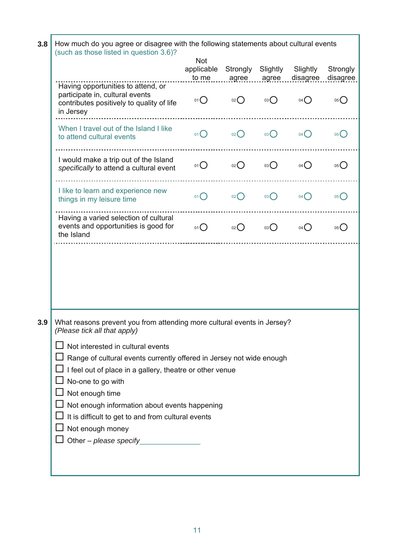| 3.8 | How much do you agree or disagree with the following statements about cultural events<br>(such as those listed in question 3.6)?             |                                   |                   |                   |                      |                      |  |  |
|-----|----------------------------------------------------------------------------------------------------------------------------------------------|-----------------------------------|-------------------|-------------------|----------------------|----------------------|--|--|
|     |                                                                                                                                              | <b>Not</b><br>applicable<br>to me | Strongly<br>agree | Slightly<br>agree | Slightly<br>disagree | Strongly<br>disagree |  |  |
|     | Having opportunities to attend, or<br>participate in, cultural events<br>contributes positively to quality of life<br>in Jersey              | $01$ $\bigcirc$                   | 02                | $03$ $\bigcirc$   | $04$ $\bigcirc$      | 05                   |  |  |
|     | When I travel out of the Island I like<br>to attend cultural events                                                                          | 01()                              | 02                | 03()              | 04()                 | 05()                 |  |  |
|     | I would make a trip out of the Island<br>specifically to attend a cultural event                                                             | 01()                              | $_{02}$ $\bigcap$ | 03()              | 04()                 | 05()                 |  |  |
|     | I like to learn and experience new<br>things in my leisure time                                                                              | 01()                              | 02                | 03()              | 04()                 | 05()                 |  |  |
|     | Having a varied selection of cultural<br>events and opportunities is good for<br>the Island                                                  | 01()                              | 02                | 03()              | $04$ $\bigcirc$      | 05()                 |  |  |
|     |                                                                                                                                              |                                   |                   |                   |                      |                      |  |  |
| 3.9 | What reasons prevent you from attending more cultural events in Jersey?<br>(Please tick all that apply)<br>Not interested in cultural events |                                   |                   |                   |                      |                      |  |  |
|     |                                                                                                                                              |                                   |                   |                   |                      |                      |  |  |
|     | Range of cultural events currently offered in Jersey not wide enough<br>I feel out of place in a gallery, theatre or other venue             |                                   |                   |                   |                      |                      |  |  |
|     | No-one to go with                                                                                                                            |                                   |                   |                   |                      |                      |  |  |
|     | Not enough time                                                                                                                              |                                   |                   |                   |                      |                      |  |  |
|     | Not enough information about events happening                                                                                                |                                   |                   |                   |                      |                      |  |  |
|     | It is difficult to get to and from cultural events                                                                                           |                                   |                   |                   |                      |                      |  |  |
|     | Not enough money<br>Other - please specify                                                                                                   |                                   |                   |                   |                      |                      |  |  |
|     |                                                                                                                                              |                                   |                   |                   |                      |                      |  |  |
|     |                                                                                                                                              |                                   |                   |                   |                      |                      |  |  |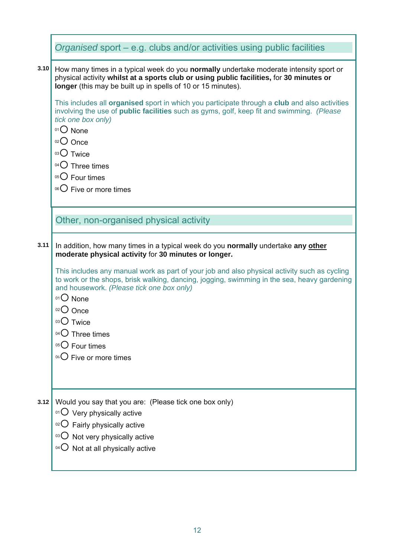| Organised sport – e.g. clubs and/or activities using public facilities                                                                                                                                                                                                                                                                                               |
|----------------------------------------------------------------------------------------------------------------------------------------------------------------------------------------------------------------------------------------------------------------------------------------------------------------------------------------------------------------------|
| 3.10<br>How many times in a typical week do you normally undertake moderate intensity sport or<br>physical activity whilst at a sports club or using public facilities, for 30 minutes or<br>longer (this may be built up in spells of 10 or 15 minutes).                                                                                                            |
| This includes all organised sport in which you participate through a club and also activities<br>involving the use of public facilities such as gyms, golf, keep fit and swimming. (Please<br>tick one box only)<br>$01$ None<br>02 Once<br>03 Twice<br>$04$ Three times<br>$05$ Four times<br><sup>06</sup> $\bigcirc$ Five or more times                           |
| Other, non-organised physical activity                                                                                                                                                                                                                                                                                                                               |
| In addition, how many times in a typical week do you normally undertake any other<br>moderate physical activity for 30 minutes or longer.                                                                                                                                                                                                                            |
| This includes any manual work as part of your job and also physical activity such as cycling<br>to work or the shops, brisk walking, dancing, jogging, swimming in the sea, heavy gardening<br>and housework. (Please tick one box only)<br>01 O None<br>$02$ Once<br>03 Twice<br>04 O Three times<br>$05$ Four times<br><sup>06</sup> $\bigcirc$ Five or more times |
| Would you say that you are: (Please tick one box only)<br>$^{01}$ O Very physically active<br>$\rm{^{02}O}$ Fairly physically active<br>$\mathrm{^{03}O}$ Not very physically active<br>$04$ $\bigcirc$<br>Not at all physically active                                                                                                                              |
|                                                                                                                                                                                                                                                                                                                                                                      |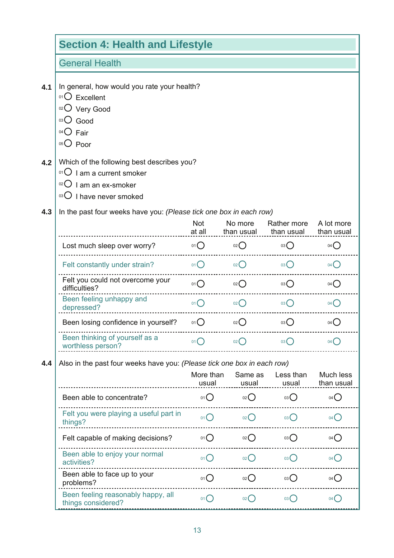|     | <b>Section 4: Health and Lifestyle</b>                                                                                              |                      |                                   |                                      |                          |  |  |  |
|-----|-------------------------------------------------------------------------------------------------------------------------------------|----------------------|-----------------------------------|--------------------------------------|--------------------------|--|--|--|
|     | <b>General Health</b>                                                                                                               |                      |                                   |                                      |                          |  |  |  |
| 4.1 | In general, how would you rate your health?<br>$01$ Excellent<br>02 Very Good<br>$^{03}$ $\bigcirc$ Good<br>$04O$ Fair<br>$05$ Poor |                      |                                   |                                      |                          |  |  |  |
| 4.2 | Which of the following best describes you?<br>$01$ I am a current smoker<br>$02$ I am an ex-smoker<br>03 U have never smoked        |                      |                                   |                                      |                          |  |  |  |
| 4.3 | In the past four weeks have you: (Please tick one box in each row)                                                                  |                      |                                   |                                      |                          |  |  |  |
|     |                                                                                                                                     | <b>Not</b><br>at all | No more                           | Rather more<br>than usual than usual | A lot more<br>than usual |  |  |  |
|     | Lost much sleep over worry?                                                                                                         | 01()                 | 02                                | 03()                                 | $04$ $\binom{7}{2}$      |  |  |  |
|     | Felt constantly under strain?                                                                                                       | 01()                 | 02                                | $03$ $\bigcirc$                      | 04()                     |  |  |  |
|     | Felt you could not overcome your<br>difficulties?                                                                                   | 01()                 | 02                                | 03()                                 | $04$ $\binom{1}{2}$      |  |  |  |
|     | Been feeling unhappy and<br>depressed?                                                                                              | $01$ $\bigcirc$      | $02$ $\bigcap$                    | 03()                                 | $04$ $\bigcap$           |  |  |  |
|     | Been losing confidence in yourself?                                                                                                 | 01()                 | $02$ $\bigcirc$                   | 03()                                 | 04()                     |  |  |  |
|     | Been thinking of yourself as a<br>worthless person?                                                                                 | 01                   | $02$ <sup><math>\sim</math></sup> | 03 <sup>2</sup>                      |                          |  |  |  |
| 4.4 | Also in the past four weeks have you: (Please tick one box in each row)                                                             |                      |                                   |                                      |                          |  |  |  |
|     |                                                                                                                                     | More than<br>usual   | Same as<br>usual                  | Less than<br>usual                   | Much less<br>than usual  |  |  |  |
|     | Been able to concentrate?                                                                                                           | 01O                  | O(2C)                             | 03                                   | 04()                     |  |  |  |
|     | Felt you were playing a useful part in<br>things?                                                                                   | 01()                 | $_{02}$ $\bigcap$                 | 03()                                 | 04(                      |  |  |  |
|     | Felt capable of making decisions?                                                                                                   | 01()                 | 02()                              | 03()                                 | 04()                     |  |  |  |
|     | Been able to enjoy your normal<br>activities?                                                                                       | 01()                 | $_{02}$ ()                        | 03()                                 | $04$ $\binom{1}{2}$      |  |  |  |
|     | Been able to face up to your<br>problems?                                                                                           | 01()                 | $_{02}$ $\bigcap$                 | 03()                                 | 04()                     |  |  |  |
|     | Been feeling reasonably happy, all<br>things considered?                                                                            | 01()                 | 02()                              | 03()                                 | $04$ $\left($            |  |  |  |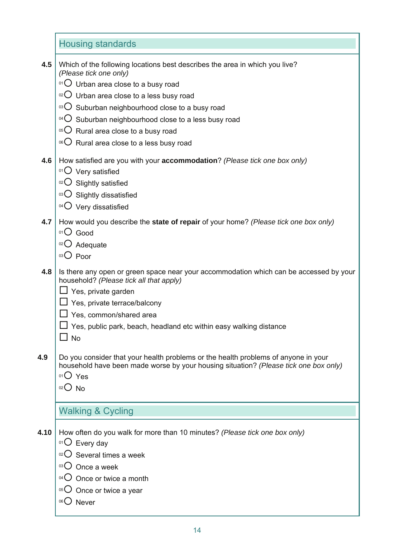|      | <b>Housing standards</b>                                                                                                                                                                                                                                                                                                                                                                                                                      |
|------|-----------------------------------------------------------------------------------------------------------------------------------------------------------------------------------------------------------------------------------------------------------------------------------------------------------------------------------------------------------------------------------------------------------------------------------------------|
| 4.5  | Which of the following locations best describes the area in which you live?<br>(Please tick one only)<br>$^{01}$ O Urban area close to a busy road<br>$\rm{O}$ Urban area close to a less busy road<br><sup>03</sup> O Suburban neighbourhood close to a busy road<br>$^{04}$ O Suburban neighbourhood close to a less busy road<br>05 O Rural area close to a busy road<br><sup>06</sup> $\overline{O}$ Rural area close to a less busy road |
| 4.6  | How satisfied are you with your <b>accommodation</b> ? (Please tick one box only)<br>01 Very satisfied<br>02 Slightly satisfied<br>03 O Slightly dissatisfied<br>$04$ Very dissatisfied                                                                                                                                                                                                                                                       |
| 4.7  | How would you describe the state of repair of your home? (Please tick one box only)<br>$01$ Good<br>02 O Adequate<br>03 Poor                                                                                                                                                                                                                                                                                                                  |
| 4.8  | Is there any open or green space near your accommodation which can be accessed by your<br>household? (Please tick all that apply)<br>Yes, private garden<br>$\Box$ Yes, private terrace/balcony<br>Yes, common/shared area<br>Yes, public park, beach, headland etc within easy walking distance<br>$\Box$ No                                                                                                                                 |
| 4.9  | Do you consider that your health problems or the health problems of anyone in your<br>household have been made worse by your housing situation? (Please tick one box only)<br>$01O$ Yes<br>$02O$ No                                                                                                                                                                                                                                           |
|      | <b>Walking &amp; Cycling</b>                                                                                                                                                                                                                                                                                                                                                                                                                  |
| 4.10 | How often do you walk for more than 10 minutes? (Please tick one box only)<br>$O1$ Every day<br>$02$ Several times a week<br>$03$ Once a week<br>$04\bigcirc$ Once or twice a month<br>$05\text{O}$ Once or twice a year                                                                                                                                                                                                                      |
|      | 06()<br><b>Never</b>                                                                                                                                                                                                                                                                                                                                                                                                                          |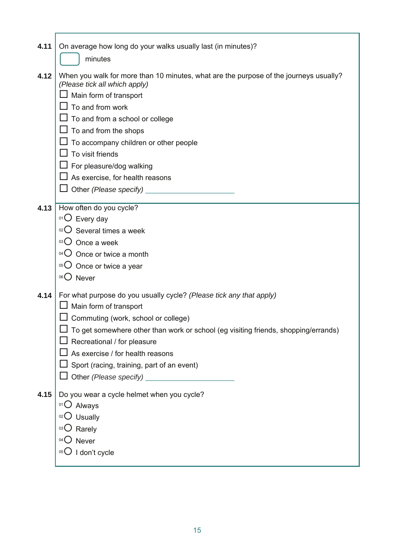| 4.11 | On average how long do your walks usually last (in minutes)?                                                           |
|------|------------------------------------------------------------------------------------------------------------------------|
|      | minutes                                                                                                                |
| 4.12 | When you walk for more than 10 minutes, what are the purpose of the journeys usually?<br>(Please tick all which apply) |
|      | $\Box$ Main form of transport                                                                                          |
|      | To and from work                                                                                                       |
|      | $\Box$ To and from a school or college                                                                                 |
|      | To and from the shops                                                                                                  |
|      | To accompany children or other people                                                                                  |
|      | To visit friends                                                                                                       |
|      | $\Box$ For pleasure/dog walking                                                                                        |
|      | As exercise, for health reasons                                                                                        |
|      | $\Box$ Other (Please specify)                                                                                          |
| 4.13 |                                                                                                                        |
|      | How often do you cycle?<br>$O1$ Every day                                                                              |
|      | $02$ Several times a week                                                                                              |
|      | 03 Once a week                                                                                                         |
|      | $04$ Once or twice a month                                                                                             |
|      | $05\text{O}$ Once or twice a year                                                                                      |
|      | <sup>06</sup> O Never                                                                                                  |
|      |                                                                                                                        |
| 4.14 | For what purpose do you usually cycle? (Please tick any that apply)                                                    |
|      | Main form of transport                                                                                                 |
|      | $\Box$ Commuting (work, school or college)                                                                             |
|      | To get somewhere other than work or school (eg visiting friends, shopping/errands)                                     |
|      | Recreational / for pleasure                                                                                            |
|      | As exercise / for health reasons                                                                                       |
|      | Sport (racing, training, part of an event)                                                                             |
|      |                                                                                                                        |
| 4.15 | Do you wear a cycle helmet when you cycle?                                                                             |
|      | 01 Always                                                                                                              |
|      | Usually<br>02()                                                                                                        |
|      | 03()<br>Rarely                                                                                                         |
|      | $04$ Never                                                                                                             |
|      | I don't cycle<br>05()                                                                                                  |
|      |                                                                                                                        |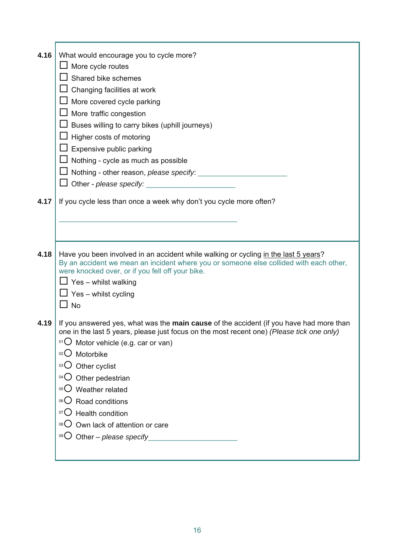| 4.16 | What would encourage you to cycle more?                                                                                                                                                                                                                                                                         |
|------|-----------------------------------------------------------------------------------------------------------------------------------------------------------------------------------------------------------------------------------------------------------------------------------------------------------------|
|      | $\Box$ More cycle routes                                                                                                                                                                                                                                                                                        |
|      | $\Box$ Shared bike schemes                                                                                                                                                                                                                                                                                      |
|      | $\Box$ Changing facilities at work                                                                                                                                                                                                                                                                              |
|      | $\Box$ More covered cycle parking                                                                                                                                                                                                                                                                               |
|      | More traffic congestion                                                                                                                                                                                                                                                                                         |
|      | Buses willing to carry bikes (uphill journeys)                                                                                                                                                                                                                                                                  |
|      | Higher costs of motoring                                                                                                                                                                                                                                                                                        |
|      | Expensive public parking                                                                                                                                                                                                                                                                                        |
|      | Nothing - cycle as much as possible                                                                                                                                                                                                                                                                             |
|      | □ Nothing - other reason, please specify:                                                                                                                                                                                                                                                                       |
|      |                                                                                                                                                                                                                                                                                                                 |
| 4.17 | If you cycle less than once a week why don't you cycle more often?                                                                                                                                                                                                                                              |
|      |                                                                                                                                                                                                                                                                                                                 |
|      |                                                                                                                                                                                                                                                                                                                 |
|      |                                                                                                                                                                                                                                                                                                                 |
| 4.18 | Have you been involved in an accident while walking or cycling in the last 5 years?<br>By an accident we mean an incident where you or someone else collided with each other,<br>were knocked over, or if you fell off your bike.<br>$\Box$ Yes – whilst walking<br>$\Box$ Yes – whilst cycling<br>$\square$ No |
| 4.19 | If you answered yes, what was the main cause of the accident (if you have had more than<br>one in the last 5 years, please just focus on the most recent one) (Please tick one only)                                                                                                                            |
|      | $^{01}$ O Motor vehicle (e.g. car or van)                                                                                                                                                                                                                                                                       |
|      | 02 Motorbike                                                                                                                                                                                                                                                                                                    |
|      | 03 Other cyclist                                                                                                                                                                                                                                                                                                |
|      | $^{04}$ O Other pedestrian                                                                                                                                                                                                                                                                                      |
|      | 05 Weather related                                                                                                                                                                                                                                                                                              |
|      | Road conditions<br>06()                                                                                                                                                                                                                                                                                         |
|      | $\overline{O}$ Health condition                                                                                                                                                                                                                                                                                 |
|      | <sup>08</sup> O Own lack of attention or care                                                                                                                                                                                                                                                                   |
|      | $\circ$ <sup>o</sup> Other – please specify                                                                                                                                                                                                                                                                     |
|      |                                                                                                                                                                                                                                                                                                                 |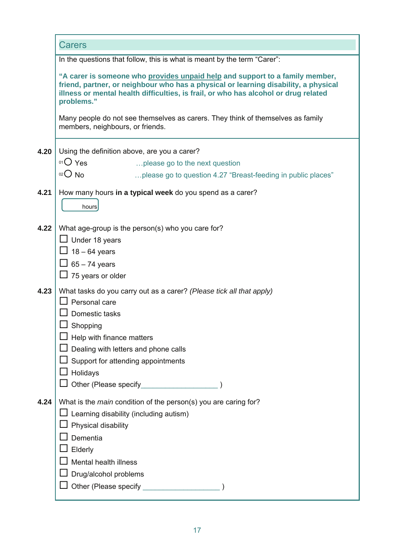|      | Carers                                                                                                                                                                                                                                                                   |
|------|--------------------------------------------------------------------------------------------------------------------------------------------------------------------------------------------------------------------------------------------------------------------------|
|      | In the questions that follow, this is what is meant by the term "Carer":                                                                                                                                                                                                 |
|      | "A carer is someone who provides unpaid help and support to a family member,<br>friend, partner, or neighbour who has a physical or learning disability, a physical<br>illness or mental health difficulties, is frail, or who has alcohol or drug related<br>problems." |
|      | Many people do not see themselves as carers. They think of themselves as family<br>members, neighbours, or friends.                                                                                                                                                      |
| 4.20 | Using the definition above, are you a carer?                                                                                                                                                                                                                             |
|      | $01O$ Yes<br>please go to the next question                                                                                                                                                                                                                              |
|      | $02$ No<br>please go to question 4.27 "Breast-feeding in public places"                                                                                                                                                                                                  |
| 4.21 | How many hours in a typical week do you spend as a carer?                                                                                                                                                                                                                |
|      | hours                                                                                                                                                                                                                                                                    |
|      |                                                                                                                                                                                                                                                                          |
| 4.22 | What age-group is the person(s) who you care for?                                                                                                                                                                                                                        |
|      | $\Box$ Under 18 years                                                                                                                                                                                                                                                    |
|      | $\Box$ 18 – 64 years                                                                                                                                                                                                                                                     |
|      | $\Box$ 65 – 74 years<br>$\Box$ 75 years or older                                                                                                                                                                                                                         |
|      |                                                                                                                                                                                                                                                                          |
| 4.23 | What tasks do you carry out as a carer? (Please tick all that apply)                                                                                                                                                                                                     |
|      | Personal care<br>Domestic tasks                                                                                                                                                                                                                                          |
|      | Shopping                                                                                                                                                                                                                                                                 |
|      | Help with finance matters                                                                                                                                                                                                                                                |
|      | Dealing with letters and phone calls                                                                                                                                                                                                                                     |
|      | Support for attending appointments                                                                                                                                                                                                                                       |
|      | Holidays                                                                                                                                                                                                                                                                 |
|      | Other (Please specify_                                                                                                                                                                                                                                                   |
| 4.24 | What is the <i>main</i> condition of the person(s) you are caring for?                                                                                                                                                                                                   |
|      | Learning disability (including autism)                                                                                                                                                                                                                                   |
|      | Physical disability                                                                                                                                                                                                                                                      |
|      | Dementia                                                                                                                                                                                                                                                                 |
|      | Elderly                                                                                                                                                                                                                                                                  |
|      | <b>Mental health illness</b>                                                                                                                                                                                                                                             |
|      | Drug/alcohol problems                                                                                                                                                                                                                                                    |
|      | Other (Please specify                                                                                                                                                                                                                                                    |
|      |                                                                                                                                                                                                                                                                          |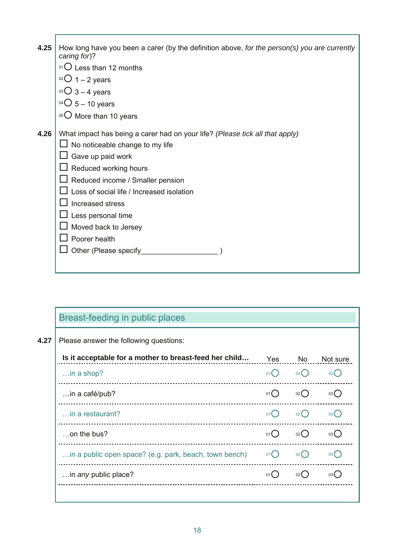| 4.25 | How long have you been a carer (by the definition above, for the person(s) you are currently<br>caring for)? |
|------|--------------------------------------------------------------------------------------------------------------|
|      | $^{01}$ O Less than 12 months                                                                                |
|      | $0201 - 2$ years                                                                                             |
|      | $03O$ 3 – 4 years                                                                                            |
|      | $^{04}$ $O$ 5 – 10 years                                                                                     |
|      | 05 O More than 10 years                                                                                      |
| 4.26 | What impact has being a carer had on your life? (Please tick all that apply)                                 |
|      | No noticeable change to my life                                                                              |
|      | Gave up paid work                                                                                            |
|      | $\Box$ Reduced working hours                                                                                 |
|      | $\perp$ Reduced income / Smaller pension                                                                     |
|      | Loss of social life / Increased isolation                                                                    |
|      | Increased stress                                                                                             |
|      | Less personal time                                                                                           |
|      | Moved back to Jersey                                                                                         |
|      | Poorer health                                                                                                |
|      | Other (Please specify                                                                                        |
|      |                                                                                                              |

## Breast-feeding in public places

**4.27**  Please answer the following questions:

| Is it acceptable for a mother to breast-feed her child | Yes  | No              | Not sure        |
|--------------------------------------------------------|------|-----------------|-----------------|
| $\ldots$ in a shop?                                    | 01() | $02$ (          | 03 <sup>2</sup> |
| in a café/pub?                                         | 01() | $02$ (          | 03 (            |
| in a restaurant?                                       | 01() | 02()            | 03 <sup>°</sup> |
| on the bus?                                            | 01() | 02()            | 03 (            |
| in a public open space? (e.g. park, beach, town bench) | 01() | 02 <sup>2</sup> | 03 <sup>l</sup> |
| in any public place?                                   | 01   | $02$ (          | 03 <sup>°</sup> |
|                                                        |      |                 |                 |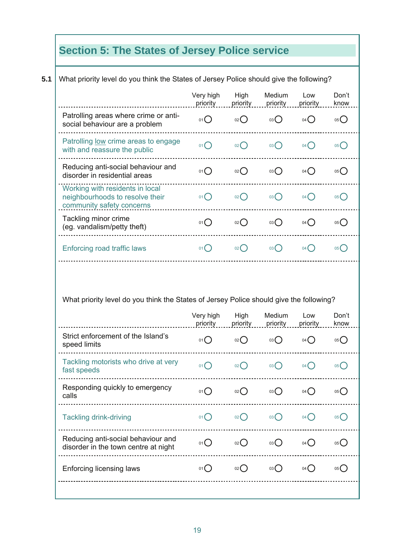# **Section 5: The States of Jersey Police service**

|                                                                                                                        | Very high<br>priority | High<br>priority   | Medium<br>priority | Low<br>priority    | Don't<br>know                                                          |
|------------------------------------------------------------------------------------------------------------------------|-----------------------|--------------------|--------------------|--------------------|------------------------------------------------------------------------|
| Patrolling areas where crime or anti-<br>social behaviour are a problem                                                | 01()                  | 02                 | 03                 | 04()               | 05                                                                     |
| Patrolling <u>low</u> crime areas to engage<br>with and reassure the public                                            | 01()                  | 02                 | 03()               | 04()               | 05()                                                                   |
| Reducing anti-social behaviour and<br>disorder in residential areas                                                    | 01()                  | $_{02}$ $\bigcap$  | 03()               | 04()               | 05()                                                                   |
| Working with residents in local<br>neighbourhoods to resolve their<br>community safety concerns                        | 01()                  | $_{02}$ $\bigcap$  | 03()               | 04()               | 05()                                                                   |
| Tackling minor crime<br>(eg. vandalism/petty theft)                                                                    | 01()                  | $_{02}$ $\bigcirc$ | 03()               | 04()               | 05()                                                                   |
|                                                                                                                        |                       |                    |                    |                    |                                                                        |
| Enforcing road traffic laws<br>What priority level do you think the States of Jersey Police should give the following? | 01()                  | $02$ $\bigcirc$    | 03()               | 04()               |                                                                        |
|                                                                                                                        | Very high             | High               | Medium             | Low                |                                                                        |
| Strict enforcement of the Island's<br>speed limits                                                                     | priority<br>01()      | priority<br>02()   | priority<br>03()   | priority<br>$04$ ( |                                                                        |
| Tackling motorists who drive at very<br>fast speeds                                                                    | 01()                  | $02$ $\bigcap$     | 03()               | 04                 | 05()<br>Don't<br>know<br>05()<br>$05$ <sup><math>\bigcirc</math></sup> |
| Responding quickly to emergency<br>calls                                                                               | 01()                  | 02()               | 03()               | $04$ $\bigcirc$    | 05()                                                                   |
| <b>Tackling drink-driving</b>                                                                                          | 01()                  | $02$ $\bigcirc$    | $03$ $\bigcirc$    | $04$ $\bigcirc$    |                                                                        |
| Reducing anti-social behaviour and<br>disorder in the town centre at night                                             | 01()                  | 02()               | 03                 | $04$ $\bigcirc$    | $05$ <sup>O</sup><br>05()                                              |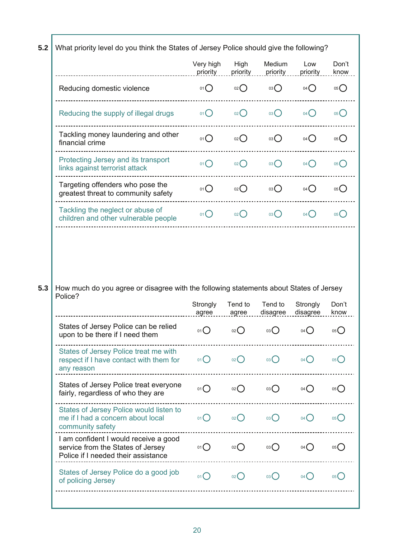**5.2**  What priority level do you think the States of Jersey Police should give the following?

|                                                                                                                   | Very high<br>priority | High<br>priority | Medium<br>priority | Low<br>priority     | Don't<br>know |
|-------------------------------------------------------------------------------------------------------------------|-----------------------|------------------|--------------------|---------------------|---------------|
| Reducing domestic violence                                                                                        | 01()                  | 02()             | 03()               | 04()                | 05()          |
| Reducing the supply of illegal drugs                                                                              | 01()                  | 02()             | 03()               | 04()                | 05()          |
| Tackling money laundering and other<br>financial crime                                                            | 01()                  | 02()             | 03()               | 04()                | 05()          |
| Protecting Jersey and its transport<br>links against terrorist attack                                             | 01()                  | 02()             | 03()               | 04()                | 05(           |
| Targeting offenders who pose the<br>greatest threat to community safety                                           | 01()                  | 02()             | 03()               | 04()                | 05()          |
| Tackling the neglect or abuse of<br>children and other vulnerable people                                          | 01()                  | 02()             | 03()               | 04()                | 05(           |
| How much do you agree or disagree with the following statements about States of Jersey<br>Police?                 | Strongly              | Tend to          | Tend to            | Strongly            |               |
| States of Jersey Police can be relied                                                                             | agree                 | agree            | disagree           | disagree<br>04( )   | Don't<br>know |
| upon to be there if I need them                                                                                   | $01$ $\bigcirc$       | $_{02}()$        | 03()               |                     | 05            |
| States of Jersey Police treat me with<br>respect if I have contact with them for<br>any reason                    | 01()                  | 02               | $03$ $\bigcap$     | $04$ $\binom{1}{2}$ | 05()          |
| States of Jersey Police treat everyone<br>fairly, regardless of who they are                                      | 01()                  | $_{02}()$        | 03()               | 04()                |               |
| States of Jersey Police would listen to<br>me if I had a concern about local<br>community safety                  | $01$ $\bigcirc$       | $02$ $\bigcirc$  | 03()               | 04()                | 05()<br>05()  |
| I am confident I would receive a good<br>service from the States of Jersey<br>Police if I needed their assistance | $01$ $\bigcirc$       | 02               | 03                 | $04$ $\bigcirc$     | 05            |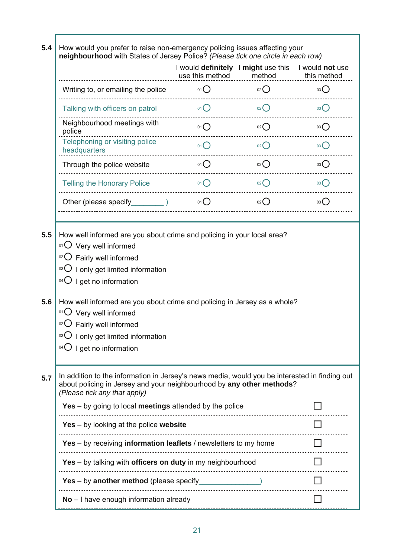**5.4 5.5 5.6 5.7**  How would you prefer to raise non-emergency policing issues affecting your **neighbourhood** with States of Jersey Police? *(Please tick one circle in each row)*  I would **definitely**  I **might** use this I would **not** use use this method method this method Writing to, or emailing the police  ${}^{\circ}$ <sup>01</sup>  $\bigcirc$   ${}^{\circ}$   ${}^{\circ}$   $\bigcirc$   ${}^{\circ}$   $\bigcirc$   ${}^{\circ}$   $\bigcirc$   ${}^{\circ}$   $\bigcirc$   ${}^{\circ}$ Talking with officers on patrol  $^{01}Q$   $^{02}Q$   $^{03}Q$ Neighbourhood meetings with  $\overline{O}$   $\overline{O}$   $\overline{O}$   $\overline{O}$   $\overline{O}$   $\overline{O}$   $\overline{O}$   $\overline{O}$   $\overline{O}$   $\overline{O}$   $\overline{O}$   $\overline{O}$   $\overline{O}$ Telephoning or visiting police  $\text{the}\xspace$  din  $\text{O}\xspace$  din  $\text{O}\xspace$  din  $\text{O}\xspace$  din  $\text{O}\xspace$  din  $\text{O}\xspace$  din  $\text{O}\xspace$  din  $\text{O}\xspace$  din  $\text{O}\xspace$  din  $\text{O}\xspace$  din  $\text{O}\xspace$  din  $\text{O}\xspace$  din  $\text{O}\xspace$  din  $\text{O}\xspace$  din  $\text{O}\xspace$  din  $\text{O}\xspace$  d Through the police website  ${}^{\circ}1{\rm O}$   ${}^{\circ}2{\rm O}$   ${}^{\circ}3{\rm O}$   ${}^{\circ}3{\rm O}$ Telling the Honorary Police  ${}^{\circ}$ <sup>01</sup>  $\bigcirc$   ${}^{\circ}$   ${}^{\circ}$   $\bigcirc$   ${}^{\circ}$   $\bigcirc$   ${}^{\circ}$   $\bigcirc$   ${}^{\circ}$ Other (please specify\_\_\_\_\_\_\_\_\_\_\_\_)  $\qquad \qquad ^{01}{\rm O}$   $\qquad \qquad ^{02}{\rm O}$   $\qquad \qquad ^{03}{\rm O}$ How well informed are you about crime and policing in your local area?  $01$  Very well informed  $02$  Fairly well informed  $03$  I only get limited information  $04$  I get no information How well informed are you about crime and policing in Jersey as a whole?  $01$  Very well informed  $02$  Fairly well informed  $\log$  I only get limited information  $04\bigcirc$  I get no information In addition to the information in Jersey's news media, would you be interested in finding out about policing in Jersey and your neighbourhood by **any other methods**? *(Please tick any that apply)*  **Yes** – by going to local **meetings** attended by the police **Yes** – by looking at the police **website Yes** – by receiving **information leaflets** / newsletters to my home **Yes** – by talking with **officers on duty** in my neighbourhood **Yes** – by **another method** (please specify\_\_\_\_\_\_\_\_\_\_\_\_\_\_\_) **No** – I have enough information already **all as a set of all and all a** D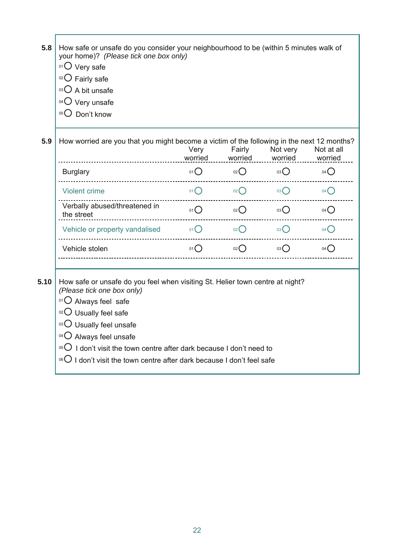| 5.8  | How safe or unsafe do you consider your neighbourhood to be (within 5 minutes walk of<br>your home)? (Please tick one box only)<br>$01$ Very safe<br>$02$ Fairly safe<br>$03\bigcirc$ A bit unsafe<br>$04$ Very unsafe<br>05 Don't know                                                                                                                                                                  |                   |                                           |                   |                     |
|------|----------------------------------------------------------------------------------------------------------------------------------------------------------------------------------------------------------------------------------------------------------------------------------------------------------------------------------------------------------------------------------------------------------|-------------------|-------------------------------------------|-------------------|---------------------|
| 5.9  | How worried are you that you might become a victim of the following in the next 12 months?                                                                                                                                                                                                                                                                                                               | Very              | Fairly<br>worried worried worried worried | Not very          | Not at all          |
|      | <b>Burglary</b>                                                                                                                                                                                                                                                                                                                                                                                          | 01()              | $02$ $03$ $0$                             |                   | $04$ $\bigcirc$     |
|      | <b>Violent crime</b>                                                                                                                                                                                                                                                                                                                                                                                     | $01$ <sup>O</sup> | $02$ $\bigcap$                            | $03$ <sup>O</sup> | $04$ $\binom{1}{2}$ |
|      | Verbally abused/threatened in<br>the street                                                                                                                                                                                                                                                                                                                                                              | 01()              | 02                                        | 03                | 04()                |
|      | Vehicle or property vandalised $01O$                                                                                                                                                                                                                                                                                                                                                                     |                   | 02                                        | 03                | 04(                 |
|      | Vehicle stolen                                                                                                                                                                                                                                                                                                                                                                                           | 01()              | $02$ $\bigcap$                            | $03$ $\bigcirc$   | 04()                |
| 5.10 | How safe or unsafe do you feel when visiting St. Helier town centre at night?<br>(Please tick one box only)<br>$01$ Always feel safe<br>$02$ Usually feel safe<br>03 Usually feel unsafe<br>$04\bigcirc$ Always feel unsafe<br>$^{05}$ O I don't visit the town centre after dark because I don't need to<br><sup>06</sup> $\bigcirc$ I don't visit the town centre after dark because I don't feel safe |                   |                                           |                   |                     |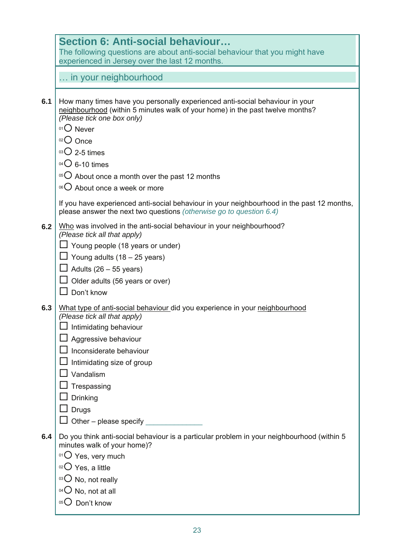|     | Section 6: Anti-social behaviour                                                                                                                                  |
|-----|-------------------------------------------------------------------------------------------------------------------------------------------------------------------|
|     | The following questions are about anti-social behaviour that you might have                                                                                       |
|     | experienced in Jersey over the last 12 months.                                                                                                                    |
|     | in your neighbourhood                                                                                                                                             |
|     |                                                                                                                                                                   |
| 6.1 | How many times have you personally experienced anti-social behaviour in your                                                                                      |
|     | neighbourhood (within 5 minutes walk of your home) in the past twelve months?<br>(Please tick one box only)                                                       |
|     | $01$ Never                                                                                                                                                        |
|     | 02 Once                                                                                                                                                           |
|     | $03$ 2-5 times                                                                                                                                                    |
|     | $04$ G-10 times                                                                                                                                                   |
|     |                                                                                                                                                                   |
|     | $10^{15}$ About once a month over the past 12 months                                                                                                              |
|     | 06 O About once a week or more                                                                                                                                    |
|     | If you have experienced anti-social behaviour in your neighbourhood in the past 12 months,<br>please answer the next two questions (otherwise go to question 6.4) |
| 6.2 | Who was involved in the anti-social behaviour in your neighbourhood?<br>(Please tick all that apply)                                                              |
|     | Young people (18 years or under)                                                                                                                                  |
|     | Young adults $(18 - 25$ years)                                                                                                                                    |
|     | Adults $(26 - 55$ years)                                                                                                                                          |
|     | Older adults (56 years or over)                                                                                                                                   |
|     | Don't know                                                                                                                                                        |
| 6.3 | What type of anti-social behaviour did you experience in your neighbourhood                                                                                       |
|     | (Please tick all that apply)                                                                                                                                      |
|     | $\Box$ Intimidating behaviour                                                                                                                                     |
|     | Aggressive behaviour                                                                                                                                              |
|     | Inconsiderate behaviour                                                                                                                                           |
|     | Intimidating size of group                                                                                                                                        |
|     | Vandalism                                                                                                                                                         |
|     | Trespassing                                                                                                                                                       |
|     | <b>Drinking</b>                                                                                                                                                   |
|     | <b>Drugs</b>                                                                                                                                                      |
|     | Other - please specify                                                                                                                                            |
| 6.4 | Do you think anti-social behaviour is a particular problem in your neighbourhood (within 5                                                                        |
|     | minutes walk of your home)?                                                                                                                                       |
|     | $01$ Yes, very much                                                                                                                                               |
|     | <sup>02</sup> $\bigcup$ Yes, a little                                                                                                                             |
|     | $03$ No, not really                                                                                                                                               |
|     | <sup>04</sup> $\bigcirc$ No, not at all                                                                                                                           |
|     | Don't know<br>05(                                                                                                                                                 |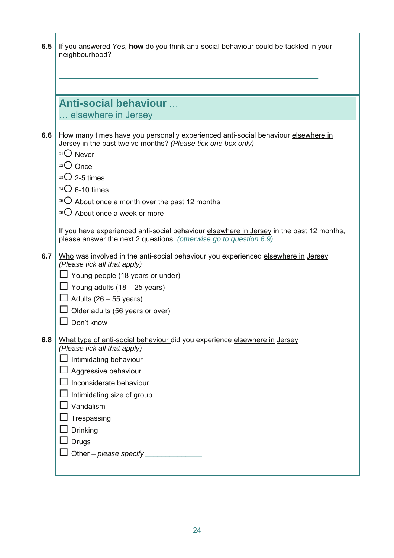| 6.5 | If you answered Yes, how do you think anti-social behaviour could be tackled in your<br>neighbourhood?                                                                        |
|-----|-------------------------------------------------------------------------------------------------------------------------------------------------------------------------------|
|     |                                                                                                                                                                               |
|     |                                                                                                                                                                               |
|     |                                                                                                                                                                               |
|     | <b>Anti-social behaviour </b>                                                                                                                                                 |
|     | elsewhere in Jersey                                                                                                                                                           |
| 6.6 | How many times have you personally experienced anti-social behaviour elsewhere in<br>Jersey in the past twelve months? (Please tick one box only)<br>$01$ Never<br>$O02$ Once |
|     | $03$ 2-5 times                                                                                                                                                                |
|     | $04$ G-10 times                                                                                                                                                               |
|     | $\mathrm{O}$ About once a month over the past 12 months                                                                                                                       |
|     | 06 O About once a week or more                                                                                                                                                |
|     | If you have experienced anti-social behaviour elsewhere in Jersey in the past 12 months,<br>please answer the next 2 questions. (otherwise go to question 6.9)                |
| 6.7 | Who was involved in the anti-social behaviour you experienced elsewhere in Jersey<br>(Please tick all that apply)                                                             |
|     | $\perp$ Young people (18 years or under)                                                                                                                                      |
|     | $\perp$ Young adults (18 – 25 years)                                                                                                                                          |
|     | $\perp$ Adults (26 – 55 years)                                                                                                                                                |
|     | Older adults (56 years or over)                                                                                                                                               |
|     | Don't know                                                                                                                                                                    |
| 6.8 | What type of anti-social behaviour did you experience elsewhere in Jersey                                                                                                     |
|     | (Please tick all that apply)<br>Intimidating behaviour                                                                                                                        |
|     | Aggressive behaviour                                                                                                                                                          |
|     | Inconsiderate behaviour                                                                                                                                                       |
|     | Intimidating size of group                                                                                                                                                    |
|     | Vandalism                                                                                                                                                                     |
|     | Trespassing                                                                                                                                                                   |
|     | Drinking                                                                                                                                                                      |
|     | <b>Drugs</b>                                                                                                                                                                  |
|     | Other - please specify                                                                                                                                                        |
|     |                                                                                                                                                                               |

ī

Ī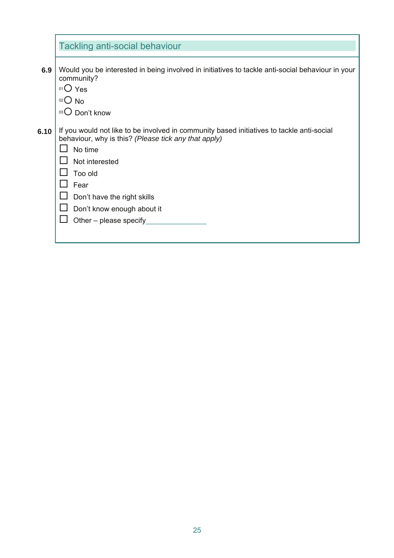|      | <b>Tackling anti-social behaviour</b>                                                                                                                                                                                                                                                    |
|------|------------------------------------------------------------------------------------------------------------------------------------------------------------------------------------------------------------------------------------------------------------------------------------------|
| 6.9  | Would you be interested in being involved in initiatives to tackle anti-social behaviour in your<br>community?<br>$01O$ Yes<br>$02$ No<br>$03$ Don't know                                                                                                                                |
| 6.10 | If you would not like to be involved in community based initiatives to tackle anti-social<br>behaviour, why is this? (Please tick any that apply)<br>No time<br>Not interested<br>Too old<br>Fear<br>Don't have the right skills<br>Don't know enough about it<br>Other - please specify |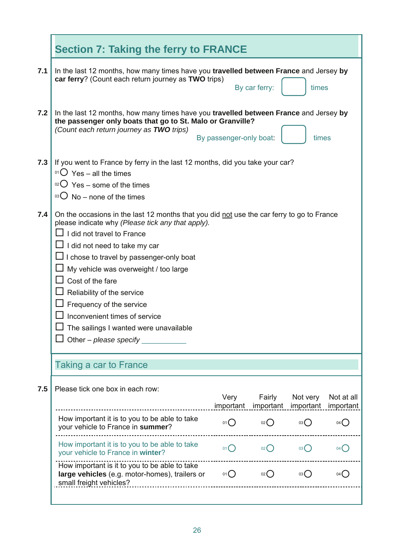|     | <b>Section 7: Taking the ferry to FRANCE</b>                                                                                                                                                                                                                                                                                                                                                                                                                                          |                         |                 |                                 |                         |
|-----|---------------------------------------------------------------------------------------------------------------------------------------------------------------------------------------------------------------------------------------------------------------------------------------------------------------------------------------------------------------------------------------------------------------------------------------------------------------------------------------|-------------------------|-----------------|---------------------------------|-------------------------|
| 7.1 | In the last 12 months, how many times have you travelled between France and Jersey by<br>car ferry? (Count each return journey as TWO trips)                                                                                                                                                                                                                                                                                                                                          |                         | By car ferry:   | times                           |                         |
| 7.2 | In the last 12 months, how many times have you travelled between France and Jersey by<br>the passenger only boats that go to St. Malo or Granville?<br>(Count each return journey as TWO trips)                                                                                                                                                                                                                                                                                       | By passenger-only boat: |                 | times                           |                         |
| 7.3 | If you went to France by ferry in the last 12 months, did you take your car?<br><sup>01</sup> $\overline{O}$ Yes – all the times<br>$02^{\circ}$ Yes – some of the times<br>$\mathrm{O}$ No – none of the times                                                                                                                                                                                                                                                                       |                         |                 |                                 |                         |
| 7.4 | On the occasions in the last 12 months that you did not use the car ferry to go to France<br>please indicate why (Please tick any that apply).<br>I did not travel to France<br>I did not need to take my car<br>I chose to travel by passenger-only boat<br>My vehicle was overweight / too large<br>Cost of the fare<br>Reliability of the service<br>Frequency of the service<br>Inconvenient times of service<br>The sailings I wanted were unavailable<br>Other – please specify |                         |                 |                                 |                         |
|     | <b>Taking a car to France</b>                                                                                                                                                                                                                                                                                                                                                                                                                                                         |                         |                 |                                 |                         |
| 7.5 | Please tick one box in each row:                                                                                                                                                                                                                                                                                                                                                                                                                                                      | Very<br>important       | Fairly          | Not very<br>important important | Not at all<br>important |
|     | How important it is to you to be able to take<br>your vehicle to France in summer?                                                                                                                                                                                                                                                                                                                                                                                                    | 01()                    | $02$ $\bigcirc$ | $^{03}$                         | 04()                    |
|     | How important it is to you to be able to take<br>your vehicle to France in winter?                                                                                                                                                                                                                                                                                                                                                                                                    | 01()                    | 02              | 03()                            | 04                      |
|     | How important is it to you to be able to take<br>large vehicles (e.g. motor-homes), trailers or<br>small freight vehicles?                                                                                                                                                                                                                                                                                                                                                            | $01$ $\bigcirc$         | $02$ $\bigcap$  | 03()                            | 04()                    |
|     |                                                                                                                                                                                                                                                                                                                                                                                                                                                                                       |                         |                 |                                 |                         |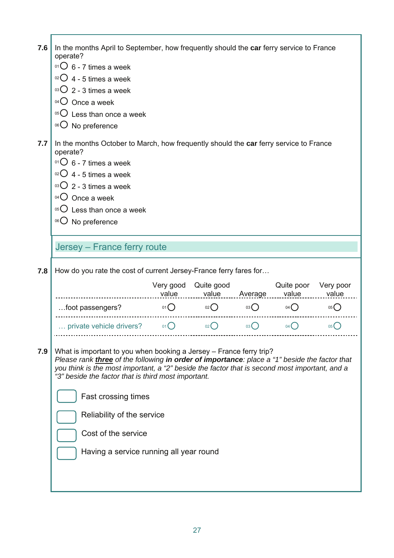| 7.6 | In the months April to September, how frequently should the car ferry service to France<br>operate?<br>$01\overline{\text{O}}$ 6 - 7 times a week<br>$02O$ 4 - 5 times a week<br>$03\bigcup 2 - 3$ times a week<br>$^{04}$ Once a week<br>$0505$ Less than once a week<br>06 O No preference                                        |                    |                 |               |                     |                    |
|-----|-------------------------------------------------------------------------------------------------------------------------------------------------------------------------------------------------------------------------------------------------------------------------------------------------------------------------------------|--------------------|-----------------|---------------|---------------------|--------------------|
| 7.7 | In the months October to March, how frequently should the car ferry service to France<br>operate?<br>$^{01}$ O 6 - 7 times a week<br>$02O$ 4 - 5 times a week<br>$03\bigcup 2 - 3$ times a week<br>$04$ Once a week<br>$0505$ Less than once a week<br>06 O No preference                                                           |                    |                 |               |                     |                    |
|     | Jersey - France ferry route                                                                                                                                                                                                                                                                                                         |                    |                 |               |                     |                    |
| 7.8 | How do you rate the cost of current Jersey-France ferry fares for                                                                                                                                                                                                                                                                   |                    |                 |               |                     |                    |
|     |                                                                                                                                                                                                                                                                                                                                     |                    |                 |               |                     |                    |
|     |                                                                                                                                                                                                                                                                                                                                     | Very good<br>value | Quite good      | value Average | Quite poor<br>value | Very poor<br>value |
|     | foot passengers?                                                                                                                                                                                                                                                                                                                    | $01\bigcirc$       | $02$ $\bigcirc$ | 03()          | $04$ $\bigcirc$     | 05(                |
|     | private vehicle drivers? $0.1 \text{ O}$                                                                                                                                                                                                                                                                                            |                    | 02              | 03()          | $04$ $\bigcirc$     | 05()               |
| 7.9 | What is important to you when booking a Jersey - France ferry trip?<br>Please rank <i>three</i> of the following in order of importance: place a "1" beside the factor that<br>you think is the most important, a "2" beside the factor that is second most important, and a<br>"3" beside the factor that is third most important. |                    |                 |               |                     |                    |
|     | Fast crossing times                                                                                                                                                                                                                                                                                                                 |                    |                 |               |                     |                    |
|     | Reliability of the service                                                                                                                                                                                                                                                                                                          |                    |                 |               |                     |                    |
|     | Cost of the service                                                                                                                                                                                                                                                                                                                 |                    |                 |               |                     |                    |
|     | Having a service running all year round                                                                                                                                                                                                                                                                                             |                    |                 |               |                     |                    |

27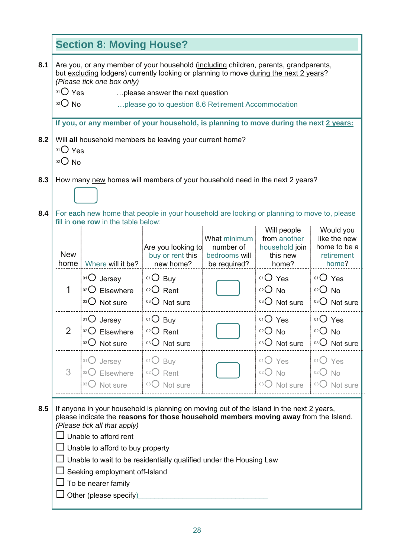|     |                                                                                                                                                                                                                                                                                                                               | <b>Section 8: Moving House?</b>                                                                                                                                                                                                                                                                                                                                                                                                       |                                                     |                                                            |                                                                    |                                                                  |  |  |
|-----|-------------------------------------------------------------------------------------------------------------------------------------------------------------------------------------------------------------------------------------------------------------------------------------------------------------------------------|---------------------------------------------------------------------------------------------------------------------------------------------------------------------------------------------------------------------------------------------------------------------------------------------------------------------------------------------------------------------------------------------------------------------------------------|-----------------------------------------------------|------------------------------------------------------------|--------------------------------------------------------------------|------------------------------------------------------------------|--|--|
| 8.1 | Are you, or any member of your household (including children, parents, grandparents,<br>but excluding lodgers) currently looking or planning to move during the next 2 years?<br>(Please tick one box only)<br>$01O$ Yes<br>please answer the next question<br>$02O$ No<br>please go to question 8.6 Retirement Accommodation |                                                                                                                                                                                                                                                                                                                                                                                                                                       |                                                     |                                                            |                                                                    |                                                                  |  |  |
|     |                                                                                                                                                                                                                                                                                                                               | If you, or any member of your household, is planning to move during the next 2 years:                                                                                                                                                                                                                                                                                                                                                 |                                                     |                                                            |                                                                    |                                                                  |  |  |
| 8.2 | 01 Yes<br>$02O$ No                                                                                                                                                                                                                                                                                                            | Will all household members be leaving your current home?                                                                                                                                                                                                                                                                                                                                                                              |                                                     |                                                            |                                                                    |                                                                  |  |  |
| 8.3 |                                                                                                                                                                                                                                                                                                                               | How many new homes will members of your household need in the next 2 years?                                                                                                                                                                                                                                                                                                                                                           |                                                     |                                                            |                                                                    |                                                                  |  |  |
| 8.4 |                                                                                                                                                                                                                                                                                                                               | For each new home that people in your household are looking or planning to move to, please<br>fill in one row in the table below:                                                                                                                                                                                                                                                                                                     |                                                     |                                                            |                                                                    |                                                                  |  |  |
|     | <b>New</b><br>home                                                                                                                                                                                                                                                                                                            | Where will it be?                                                                                                                                                                                                                                                                                                                                                                                                                     | Are you looking to<br>buy or rent this<br>new home? | What minimum<br>number of<br>bedrooms will<br>be required? | Will people<br>from another<br>household join<br>this new<br>home? | Would you<br>like the new<br>home to be a<br>retirement<br>home? |  |  |
|     | 1                                                                                                                                                                                                                                                                                                                             | 01 Jersey<br>02 Elsewhere<br>03 O Not sure                                                                                                                                                                                                                                                                                                                                                                                            | $01O$ Buy<br>$02$ Rent<br>03 O Not sure             |                                                            | $01O$ Yes<br>$O02$ No<br>03 O Not sure                             | $O1O$ Yes<br>$O02$ No<br>03 O Not sure                           |  |  |
|     |                                                                                                                                                                                                                                                                                                                               | 01 O Jersey<br>02 Elsewhere<br>03 O Not sure                                                                                                                                                                                                                                                                                                                                                                                          | $01O$ Buy<br>02 Rent<br>03 O Not sure               |                                                            | 01 Yes<br>$02O$ No<br>03 O Not sure                                | $01O$ Yes<br>$O2O$ No<br>03 O Not sure                           |  |  |
|     | 3                                                                                                                                                                                                                                                                                                                             | 01()<br>Jersey<br>Elsewhere<br>Not sure<br>03(                                                                                                                                                                                                                                                                                                                                                                                        | 01()<br>Buy<br>02()<br>Rent<br>03()<br>Not sure     |                                                            | $01o$ Yes<br>$02O$ No<br>03 O Not sure                             | 01()<br>Yes<br>02(<br><b>No</b><br>03 <sup>°</sup><br>Not sure   |  |  |
| 8.5 |                                                                                                                                                                                                                                                                                                                               | If anyone in your household is planning on moving out of the Island in the next 2 years,<br>please indicate the reasons for those household members moving away from the Island.<br>(Please tick all that apply)<br>Unable to afford rent<br>Unable to afford to buy property<br>Unable to wait to be residentially qualified under the Housing Law<br>Seeking employment off-Island<br>To be nearer family<br>Other (please specify) |                                                     |                                                            |                                                                    |                                                                  |  |  |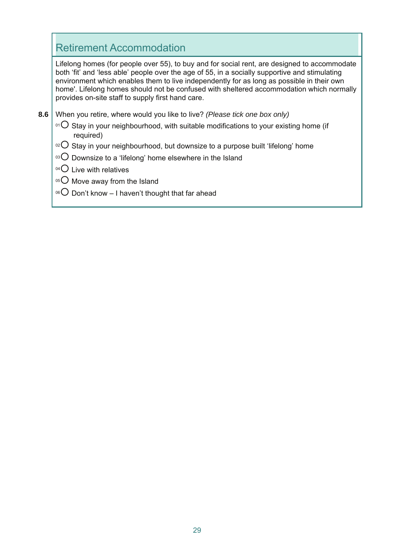### Retirement Accommodation

Lifelong homes (for people over 55), to buy and for social rent, are designed to accommodate both 'fit' and 'less able' people over the age of 55, in a socially supportive and stimulating environment which enables them to live independently for as long as possible in their own home'. Lifelong homes should not be confused with sheltered accommodation which normally provides on-site staff to supply first hand care.

- **8.6**  When you retire, where would you like to live? *(Please tick one box only)*
	- $01$  Stay in your neighbourhood, with suitable modifications to your existing home (if required)
	- $102$  Stay in your neighbourhood, but downsize to a purpose built 'lifelong' home
	- $103$  Downsize to a 'lifelong' home elsewhere in the Island
	- $04$  Live with relatives
	- $05$  Move away from the Island
	- <sup>06</sup> $\bigcirc$  Don't know I haven't thought that far ahead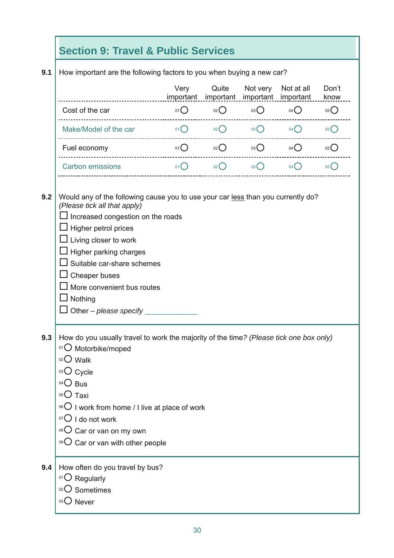# **Section 9: Travel & Public Services**

**9.1**  How important are the following factors to you when buying a new car?

|     | important are the following factors to you when buying a new car.                                                                                                                                                                                                                                                                                                          |                                                   |                 |                     |                                                       |               |
|-----|----------------------------------------------------------------------------------------------------------------------------------------------------------------------------------------------------------------------------------------------------------------------------------------------------------------------------------------------------------------------------|---------------------------------------------------|-----------------|---------------------|-------------------------------------------------------|---------------|
|     |                                                                                                                                                                                                                                                                                                                                                                            | Very                                              | Quite           | Not very            | Not at all<br>important important important important | Don't<br>know |
|     | Cost of the car                                                                                                                                                                                                                                                                                                                                                            |                                                   |                 |                     | 01 $\bigcirc$ 02 03 04 04 0                           | 05()          |
|     | Make/Model of the car                                                                                                                                                                                                                                                                                                                                                      | $01$ O                                            |                 |                     | $02$ $03$ $04$ $04$                                   | 05()          |
|     | Fuel economy and the state of the state of the state of the state of the state of the state of the state of the                                                                                                                                                                                                                                                            | O(1)                                              | $02$ $\bigcirc$ | $03$ $\bigcirc$     | $04$ $\bigcirc$                                       | 05()          |
|     | <b>Carbon emissions</b>                                                                                                                                                                                                                                                                                                                                                    | $\overline{\mathbf{O}}$ ( $\overline{\mathbf{O}}$ |                 | $02$ $03$ $04$ $04$ |                                                       | 05            |
| 9.2 | Would any of the following cause you to use your car less than you currently do?<br>(Please tick all that apply)<br>$\perp$ Increased congestion on the roads<br>$\Box$ Higher petrol prices<br>$\Box$ Living closer to work<br>Higher parking charges<br>Suitable car-share schemes<br>Cheaper buses<br>More convenient bus routes<br>Nothing<br>Other - please specify   |                                                   |                 |                     |                                                       |               |
| 9.3 | How do you usually travel to work the majority of the time? (Please tick one box only)<br>01 O Motorbike/moped<br>$02$ Walk<br>03 Cycle<br>$04O$ Bus<br>$0505$ Taxi<br><sup>06</sup> $\overline{O}$ I work from home / I live at place of work<br>$07$ I do not work<br><sup>08</sup> $\bigcirc$ Car or van on my own<br>$\circ$ <sup>o</sup> Car or van with other people |                                                   |                 |                     |                                                       |               |
| 9.4 | How often do you travel by bus?<br>$O1$ Regularly<br>02 Sometimes<br>03 ONever                                                                                                                                                                                                                                                                                             |                                                   |                 |                     |                                                       |               |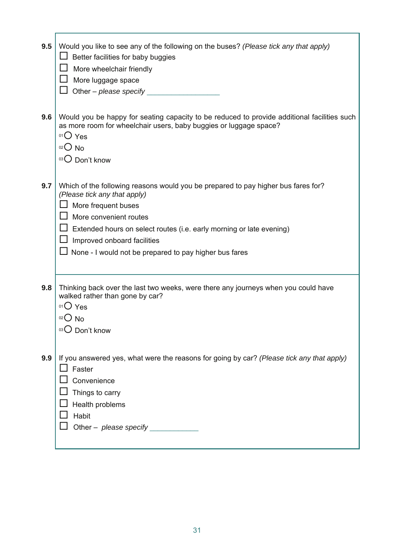| 9.5 | Would you like to see any of the following on the buses? (Please tick any that apply)<br>Better facilities for baby buggies<br>More wheelchair friendly<br>More luggage space<br>Other - please specify $\_\_$                                                                                                                      |
|-----|-------------------------------------------------------------------------------------------------------------------------------------------------------------------------------------------------------------------------------------------------------------------------------------------------------------------------------------|
| 9.6 | Would you be happy for seating capacity to be reduced to provide additional facilities such<br>as more room for wheelchair users, baby buggies or luggage space?<br>$01O$ Yes<br>$02O$ No<br>03 O Don't know                                                                                                                        |
| 9.7 | Which of the following reasons would you be prepared to pay higher bus fares for?<br>(Please tick any that apply)<br>More frequent buses<br>More convenient routes<br>Extended hours on select routes (i.e. early morning or late evening)<br>Improved onboard facilities<br>None - I would not be prepared to pay higher bus fares |
| 9.8 | Thinking back over the last two weeks, were there any journeys when you could have<br>walked rather than gone by car?<br>$01O$ Yes<br>$02O$ No<br>03 O Don't know                                                                                                                                                                   |
| 9.9 | If you answered yes, what were the reasons for going by car? (Please tick any that apply)<br>Faster<br>Convenience<br>Things to carry<br>Health problems<br>Habit<br>Other $-$ please specify                                                                                                                                       |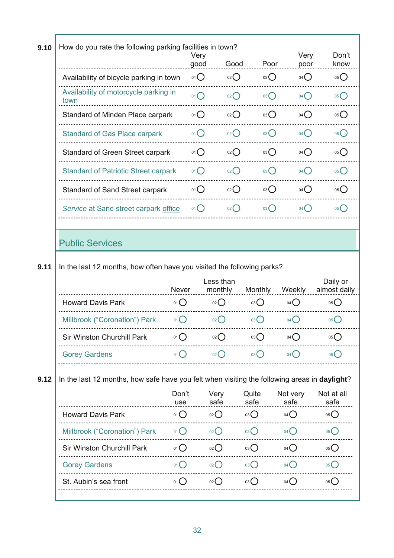| 9.10 | How do you rate the following parking facilities in town?                                    |                   | Very            |                    |                 | Very             | Don't                                 |
|------|----------------------------------------------------------------------------------------------|-------------------|-----------------|--------------------|-----------------|------------------|---------------------------------------|
|      |                                                                                              |                   | good            | Good               | Poor            | poor             | know                                  |
|      | Availability of bicycle parking in town                                                      |                   | $01$ $\bigcirc$ | 02                 | 03              | $04$ $\bigcirc$  | 05                                    |
|      | Availability of motorcycle parking in<br>town                                                |                   | 01()            | 02                 | 03              | $04$ $\bigcirc$  | $05$ <sup>O</sup>                     |
|      | Standard of Minden Place carpark                                                             |                   | 01()            | 02                 | 03              | 04()             | 05                                    |
|      | <b>Standard of Gas Place carpark</b>                                                         |                   | 01()            | $02$ $\bigcirc$    | 03              | $04$ $\bigcirc$  | $05$ <sup><math>\bigcirc</math></sup> |
|      | Standard of Green Street carpark                                                             |                   | 01()            | 02                 | $03\bigcirc$    | $04$ $\bigcirc$  | 05                                    |
|      | <b>Standard of Patriotic Street carpark</b>                                                  |                   | $_{01} \bigcap$ | $_{02}$ $\bigcap$  | $03$ $\bigcap$  | $04$ $\bigcap$   | 05C                                   |
|      | <b>Standard of Sand Street carpark</b>                                                       |                   | 01()            | $02$ $\bigcirc$    | 03              | 04()             | 05C                                   |
|      | Service at Sand street carpark office                                                        |                   | 01()            | $_{02}$ $\bigcirc$ | 03              | $04$ $\bigcirc$  | 05C                                   |
|      |                                                                                              |                   |                 |                    |                 |                  |                                       |
|      | <b>Public Services</b>                                                                       |                   |                 |                    |                 |                  |                                       |
| 9.11 | In the last 12 months, how often have you visited the following parks?                       |                   |                 |                    |                 |                  |                                       |
|      |                                                                                              |                   |                 | Less than          |                 |                  | Daily or                              |
|      |                                                                                              | Never             |                 | monthly            | <b>Monthly</b>  | Weekly           | almost daily                          |
|      | <b>Howard Davis Park</b>                                                                     | 01O               |                 | 02                 | 03              | $04$ $\bigcirc$  | 05(                                   |
|      | Millbrook ("Coronation") Park                                                                | 01()              |                 | $02$ $\bigcirc$    | $03$ $\bigcirc$ | 04()             | 05()                                  |
|      | Sir Winston Churchill Park                                                                   | 01()              |                 | 02()               | 03(             | 04()             | 05(                                   |
|      | <b>Gorey Gardens</b>                                                                         | 01()              |                 | $02$ $\bigcirc$    | $03$ $\bigcirc$ | 04()             | 05 <sup>2</sup>                       |
| 9.12 | In the last 12 months, how safe have you felt when visiting the following areas in daylight? |                   |                 |                    |                 |                  |                                       |
|      |                                                                                              | Don't<br>use      |                 | Very<br>safe       | Quite<br>safe   | Not very<br>safe | Not at all<br>safe                    |
|      | <b>Howard Davis Park</b>                                                                     | 01                |                 | 02                 | 03O             | $04$ $\bigcirc$  | 05                                    |
|      | Millbrook ("Coronation") Park                                                                | $01$ <sup>O</sup> |                 | 02                 | 03 <sup>o</sup> | $04$ $\bigcirc$  | $05$ <sup>O</sup>                     |
|      | Sir Winston Churchill Park                                                                   | $01$ $\bigcirc$   |                 | 02                 | 03              | $04$ $\bigcirc$  | 05C                                   |
|      | <b>Gorey Gardens</b>                                                                         | 01()              |                 | $02$ $\bigcirc$    | 03              | $04$ $\bigcap$   | 05                                    |
|      | St. Aubin's sea front                                                                        | 01()              |                 |                    |                 |                  |                                       |
|      |                                                                                              |                   |                 | 02                 | 03              | $04$ $\bigcap$   | 05                                    |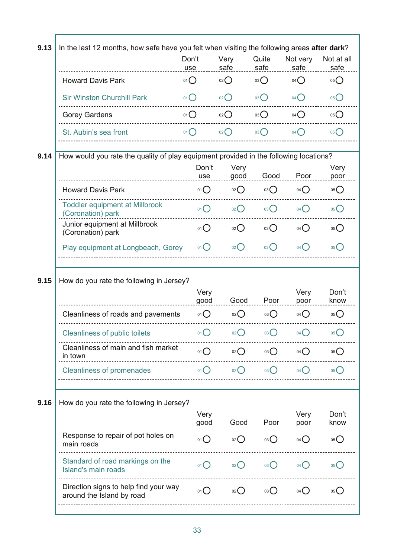| 9.13 | In the last 12 months, how safe have you felt when visiting the following areas after dark? |                 |                   |                 |                  |                                           |
|------|---------------------------------------------------------------------------------------------|-----------------|-------------------|-----------------|------------------|-------------------------------------------|
|      |                                                                                             | Don't<br>use    | Very<br>safe      | Quite<br>safe   | Not very<br>safe | Not at all<br>safe                        |
|      | <b>Howard Davis Park</b>                                                                    | 01()            | 02                | 03              | $04$ $\bigcirc$  | 05()                                      |
|      | <b>Sir Winston Churchill Park</b>                                                           | 01()            | 02                | 03              | $04$ $\bigcap$   | 05()                                      |
|      | <b>Gorey Gardens</b>                                                                        | 01()            | 02                | 03()            | 04()             | 05                                        |
|      | St. Aubin's sea front                                                                       | 01()            | 02                | $03$ $\bigcirc$ | 04()             | $05$ <sup><math>\bigcirc</math></sup>     |
| 9.14 | How would you rate the quality of play equipment provided in the following locations?       |                 |                   |                 |                  |                                           |
|      |                                                                                             | Don't<br>use    | Very<br>good      | Good            | Poor             | Very<br>poor                              |
|      | <b>Howard Davis Park</b>                                                                    | 01              | 02                | 03              | $04$ $\bigcirc$  | 05()                                      |
|      | <b>Toddler equipment at Millbrook</b><br>(Coronation) park                                  | 01()            | $02$ $\bigcirc$   | 03()            | $04$ $\bigcap$   | 05()                                      |
|      | Junior equipment at Millbrook<br>(Coronation) park                                          | 01()            | 02                | 03              | 04()             | $05$ <sup><math>\binom{2}{ }</math></sup> |
|      | Play equipment at Longbeach, Gorey                                                          | 01()            | 02()              | 03()            | $04\bigcap$      | 05 <sup>°</sup>                           |
| 9.15 | How do you rate the following in Jersey?                                                    |                 |                   |                 |                  |                                           |
|      |                                                                                             | Very<br>good    | Good              | Poor            | Very<br>poor     | Don't<br>know                             |
|      | Cleanliness of roads and pavements                                                          | 01              | $02$ $\bigcirc$   | $03$ $\bigcirc$ | $04$ $\bigcirc$  | 05()                                      |
|      | <b>Cleanliness of public toilets</b>                                                        | 01(             | 02                | 03()            | 04(              | 05(                                       |
|      | Cleanliness of main and fish market<br>in town                                              | 01()            | $_{02}( )$        | 03()            | 04()             | 05C                                       |
|      | <b>Cleanliness of promenades</b>                                                            | 01()            | 02()              | 03()            | 04()             | 05 <sup>°</sup>                           |
| 9.16 | How do you rate the following in Jersey?                                                    |                 |                   |                 |                  |                                           |
|      |                                                                                             | Very<br>good    | Good              | Poor            | Very<br>poor     | Don't<br>know                             |
|      | Response to repair of pot holes on<br>main roads                                            | $01$ $\bigcirc$ | 02                | 03              | $04$ $\bigcirc$  | 05()                                      |
|      | Standard of road markings on the<br><b>Island's main roads</b>                              | 01()            | $_{02}$ $\bigcap$ | 03()            | $04$ $\bigcap$   | 05()                                      |
|      | Direction signs to help find your way<br>around the Island by road                          | 01()            | $_{02}$ $\bigcap$ | 03()            | 04()             | 05()                                      |
|      |                                                                                             |                 |                   |                 |                  |                                           |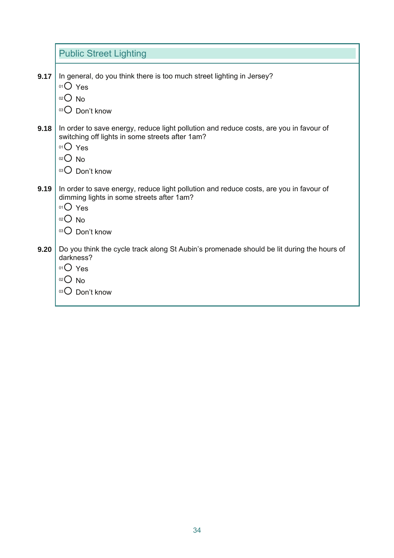|      | <b>Public Street Lighting</b>                                                                                                                                                                   |
|------|-------------------------------------------------------------------------------------------------------------------------------------------------------------------------------------------------|
| 9.17 | In general, do you think there is too much street lighting in Jersey?<br>$01O$ Yes<br>$02$ No<br>Don't know<br>03()                                                                             |
| 9.18 | In order to save energy, reduce light pollution and reduce costs, are you in favour of<br>switching off lights in some streets after 1am?<br>$01O$ Yes<br>02<br><b>No</b><br>Don't know<br>03() |
| 9.19 | In order to save energy, reduce light pollution and reduce costs, are you in favour of<br>dimming lights in some streets after 1am?<br>$01O$ Yes<br>$02O$ No<br>Don't know<br>03()              |
| 9.20 | Do you think the cycle track along St Aubin's promenade should be lit during the hours of<br>darkness?<br>$01O$ Yes<br>$02O$ No<br>03()<br>Don't know                                           |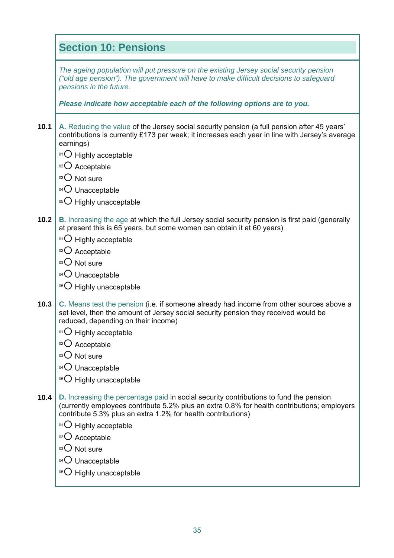|      | <b>Section 10: Pensions</b>                                                                                                                                                                                                                                                                           |
|------|-------------------------------------------------------------------------------------------------------------------------------------------------------------------------------------------------------------------------------------------------------------------------------------------------------|
|      | The ageing population will put pressure on the existing Jersey social security pension<br>("old age pension"). The government will have to make difficult decisions to safeguard<br>pensions in the future.                                                                                           |
|      | Please indicate how acceptable each of the following options are to you.                                                                                                                                                                                                                              |
| 10.1 | A. Reducing the value of the Jersey social security pension (a full pension after 45 years'<br>contributions is currently £173 per week; it increases each year in line with Jersey's average<br>earnings)                                                                                            |
|      | 01 Highly acceptable                                                                                                                                                                                                                                                                                  |
|      | $O2O$ Acceptable                                                                                                                                                                                                                                                                                      |
|      | 03 O Not sure                                                                                                                                                                                                                                                                                         |
|      | $04$ Unacceptable                                                                                                                                                                                                                                                                                     |
|      | 05 O Highly unacceptable                                                                                                                                                                                                                                                                              |
| 10.2 | <b>B.</b> Increasing the age at which the full Jersey social security pension is first paid (generally<br>at present this is 65 years, but some women can obtain it at 60 years)                                                                                                                      |
|      | 01 Highly acceptable                                                                                                                                                                                                                                                                                  |
|      | $02$ Acceptable                                                                                                                                                                                                                                                                                       |
|      | 03 O Not sure                                                                                                                                                                                                                                                                                         |
|      | $04$ Unacceptable                                                                                                                                                                                                                                                                                     |
|      | 05 O Highly unacceptable                                                                                                                                                                                                                                                                              |
| 10.3 | C. Means test the pension (i.e. if someone already had income from other sources above a<br>set level, then the amount of Jersey social security pension they received would be<br>reduced, depending on their income)                                                                                |
|      | <sup>01</sup> O Highly acceptable                                                                                                                                                                                                                                                                     |
|      | 02 Acceptable                                                                                                                                                                                                                                                                                         |
|      | 03 O Not sure                                                                                                                                                                                                                                                                                         |
|      | $04$ Unacceptable                                                                                                                                                                                                                                                                                     |
|      | 05 U Highly unacceptable                                                                                                                                                                                                                                                                              |
| 10.4 | D. Increasing the percentage paid in social security contributions to fund the pension<br>(currently employees contribute 5.2% plus an extra 0.8% for health contributions; employers<br>contribute 5.3% plus an extra 1.2% for health contributions)<br>$^{01}$ Highly acceptable<br>02 O Acceptable |
|      | 03 O Not sure                                                                                                                                                                                                                                                                                         |
|      | Unacceptable<br>04()                                                                                                                                                                                                                                                                                  |
|      | Highly unacceptable<br>05()                                                                                                                                                                                                                                                                           |
|      |                                                                                                                                                                                                                                                                                                       |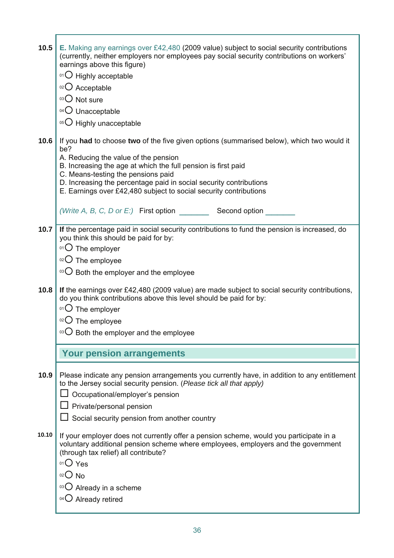| 10.5<br>10.6 | E. Making any earnings over £42,480 (2009 value) subject to social security contributions<br>(currently, neither employers nor employees pay social security contributions on workers'<br>earnings above this figure)<br>01 O Highly acceptable<br>02 O Acceptable<br>03 O Not sure<br>04 O Unacceptable<br>05 O Highly unacceptable<br>If you had to choose two of the five given options (summarised below), which two would it<br>be?<br>A. Reducing the value of the pension<br>B. Increasing the age at which the full pension is first paid<br>C. Means-testing the pensions paid<br>D. Increasing the percentage paid in social security contributions<br>E. Earnings over £42,480 subject to social security contributions |
|--------------|------------------------------------------------------------------------------------------------------------------------------------------------------------------------------------------------------------------------------------------------------------------------------------------------------------------------------------------------------------------------------------------------------------------------------------------------------------------------------------------------------------------------------------------------------------------------------------------------------------------------------------------------------------------------------------------------------------------------------------|
|              | (Write A, B, C, D or E:) First option Second option                                                                                                                                                                                                                                                                                                                                                                                                                                                                                                                                                                                                                                                                                |
| 10.7<br>10.8 | If the percentage paid in social security contributions to fund the pension is increased, do<br>you think this should be paid for by:<br>$01$ The employer<br>02 The employee<br>$\mathrm{^{03}O}$ Both the employer and the employee<br>If the earnings over £42,480 (2009 value) are made subject to social security contributions,<br>do you think contributions above this level should be paid for by:<br>$01$ The employer<br>The employee<br>$^{03}$ O Both the employer and the employee                                                                                                                                                                                                                                   |
|              | <b>Your pension arrangements</b>                                                                                                                                                                                                                                                                                                                                                                                                                                                                                                                                                                                                                                                                                                   |
| 10.9         | Please indicate any pension arrangements you currently have, in addition to any entitlement<br>to the Jersey social security pension. (Please tick all that apply)<br>Occupational/employer's pension<br>$\Box$ Private/personal pension<br>Social security pension from another country                                                                                                                                                                                                                                                                                                                                                                                                                                           |
| 10.10        | If your employer does not currently offer a pension scheme, would you participate in a<br>voluntary additional pension scheme where employees, employers and the government<br>(through tax relief) all contribute?<br>$01O$ Yes<br>02<br><b>No</b><br>Already in a scheme<br>03()<br>04 O Already retired                                                                                                                                                                                                                                                                                                                                                                                                                         |

T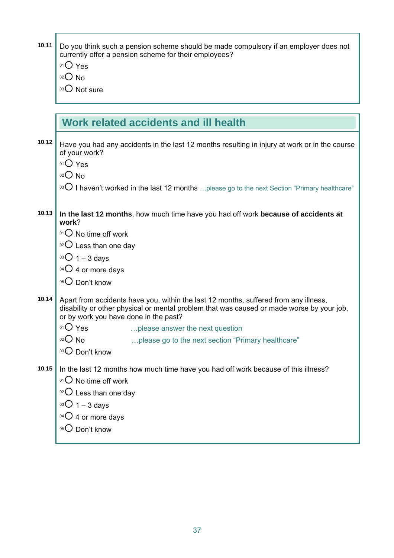| 10.11 | Do you think such a pension scheme should be made compulsory if an employer does not<br>currently offer a pension scheme for their employees?<br>$01O$ Yes<br>$02$ $\bigcirc$<br><b>No</b><br>03 O Not sure                |
|-------|----------------------------------------------------------------------------------------------------------------------------------------------------------------------------------------------------------------------------|
|       | Work related accidents and ill health                                                                                                                                                                                      |
|       |                                                                                                                                                                                                                            |
| 10.12 | Have you had any accidents in the last 12 months resulting in injury at work or in the course<br>of your work?                                                                                                             |
|       | $01O$ Yes<br>$02O$ No                                                                                                                                                                                                      |
|       | <sup>03</sup> $\bigcirc$ I haven't worked in the last 12 months  please go to the next Section "Primary healthcare"                                                                                                        |
| 10.13 | In the last 12 months, how much time have you had off work because of accidents at<br>work?                                                                                                                                |
|       | $01$ No time off work                                                                                                                                                                                                      |
|       | $02$ Less than one day                                                                                                                                                                                                     |
|       | $03O$ 1 – 3 days                                                                                                                                                                                                           |
|       | $04O$ 4 or more days                                                                                                                                                                                                       |
|       | 05 Don't know                                                                                                                                                                                                              |
| 10.14 | Apart from accidents have you, within the last 12 months, suffered from any illness,<br>disability or other physical or mental problem that was caused or made worse by your job,<br>or by work you have done in the past? |
|       | 01 Yes<br>please answer the next question                                                                                                                                                                                  |
|       | 02()<br><b>No</b><br>please go to the next section "Primary healthcare"<br>Don't know                                                                                                                                      |
| 10.15 | In the last 12 months how much time have you had off work because of this illness?<br>$01$ No time off work<br>$02$ Less than one day<br>$03O$ 1 – 3 days<br>04 O 4 or more days<br>05 Don't know                          |

37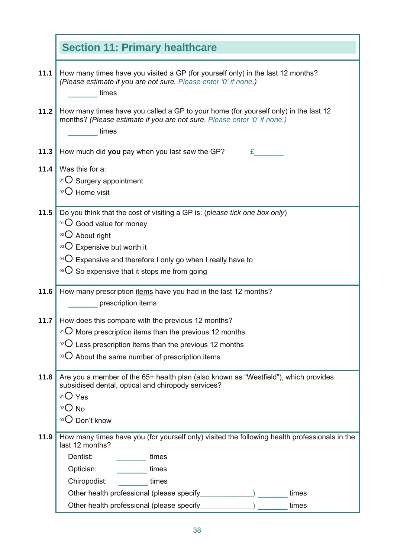|      | <b>Section 11: Primary healthcare</b>                                                                                                                                    |
|------|--------------------------------------------------------------------------------------------------------------------------------------------------------------------------|
| 11.1 | How many times have you visited a GP (for yourself only) in the last 12 months?<br>(Please estimate if you are not sure. Please enter '0' if none.)<br>times             |
| 11.2 | How many times have you called a GP to your home (for yourself only) in the last 12<br>months? (Please estimate if you are not sure. Please enter '0' if none.)<br>times |
| 11.3 | How much did you pay when you last saw the GP?<br>£.                                                                                                                     |
| 11.4 | Was this for a:                                                                                                                                                          |
|      | 01 O Surgery appointment                                                                                                                                                 |
|      | $02$ Home visit                                                                                                                                                          |
| 11.5 | Do you think that the cost of visiting a GP is: (please tick one box only)                                                                                               |
|      | 01 Good value for money                                                                                                                                                  |
|      | $02$ About right                                                                                                                                                         |
|      | 03 C Expensive but worth it                                                                                                                                              |
|      | $\rm{^{04}O}$ Expensive and therefore I only go when I really have to                                                                                                    |
|      | $105$ So expensive that it stops me from going                                                                                                                           |
| 11.6 | How many prescription <i>items</i> have you had in the last 12 months?                                                                                                   |
|      | prescription items                                                                                                                                                       |
| 11.7 | How does this compare with the previous 12 months?                                                                                                                       |
|      | $\cdot$ <sup>01</sup> $\circ$ More prescription items than the previous 12 months                                                                                        |
|      | $\rm{^{02}O}$ Less prescription items than the previous 12 months                                                                                                        |
|      | 03()<br>About the same number of prescription items                                                                                                                      |
| 11.8 | Are you a member of the 65+ health plan (also known as "Westfield"), which provides<br>subsidised dental, optical and chiropody services?<br>$01O$ Yes                   |
|      | $02O$ No                                                                                                                                                                 |
|      | Don't know<br>03()                                                                                                                                                       |
| 11.9 | How many times have you (for yourself only) visited the following health professionals in the<br>last 12 months?                                                         |
|      | Dentist:<br>times                                                                                                                                                        |
|      | Optician:<br>times                                                                                                                                                       |
|      | Chiropodist:<br>times                                                                                                                                                    |
|      | Other health professional (please specify<br>times                                                                                                                       |
|      | Other health professional (please specify<br>times                                                                                                                       |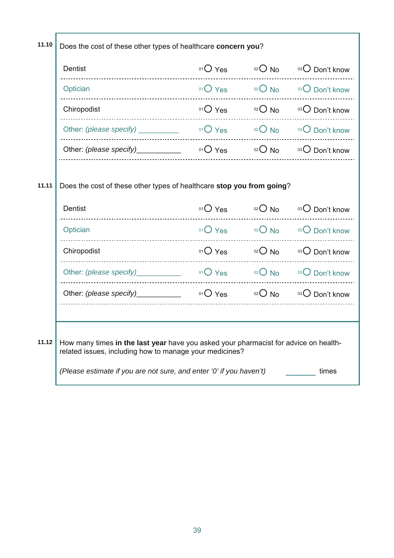| 11.10                                                                          | Does the cost of these other types of healthcare concern you?                                                                                   |           |              |                 |
|--------------------------------------------------------------------------------|-------------------------------------------------------------------------------------------------------------------------------------------------|-----------|--------------|-----------------|
|                                                                                | Dentist                                                                                                                                         | $O1O$ Yes | $02$ No      | 03 Don't know   |
|                                                                                | Optician                                                                                                                                        | $01O$ Yes | $02$ No      | 03 Don't know   |
|                                                                                | Chiropodist                                                                                                                                     | $01O$ Yes | $02$ No      | 03 Don't know   |
|                                                                                | Other: (please specify) _________                                                                                                               | $01O$ Yes | $02$ No      | 03 O Don't know |
|                                                                                | Other: (please specify)________                                                                                                                 | $O1O$ Yes | $02$ No      | 03 Don't know   |
|                                                                                |                                                                                                                                                 |           |              |                 |
| Does the cost of these other types of healthcare stop you from going?<br>11.11 |                                                                                                                                                 |           |              |                 |
|                                                                                | <b>Dentist</b>                                                                                                                                  | $01O$ Yes | $^{02}$ O No | 03 O Don't know |
|                                                                                | Optician                                                                                                                                        | $01O$ Yes | $O2$ No      | 03 Don't know   |
|                                                                                | Chiropodist                                                                                                                                     | $01O$ Yes | $02O$ No     | 03 Don't know   |
|                                                                                | Other: (please specify)                                                                                                                         | $01O$ Yes | $02O$ No     | 03 O Don't know |
|                                                                                | Other: (please specify)___________                                                                                                              | $01O$ Yes | $O02$ No     | $03$ Don't know |
|                                                                                |                                                                                                                                                 |           |              |                 |
| 11.12                                                                          | How many times in the last year have you asked your pharmacist for advice on health-<br>related issues, including how to manage your medicines? |           |              |                 |
|                                                                                | (Please estimate if you are not sure, and enter '0' if you haven't)                                                                             |           |              | times           |